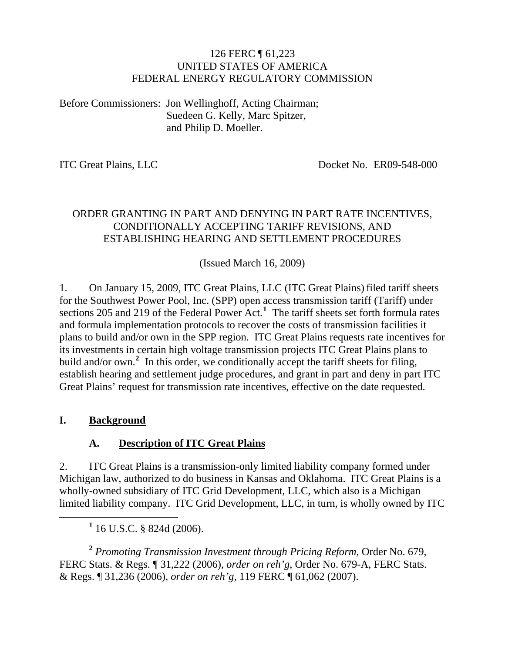#### 126 FERC ¶ 61,223 UNITED STATES OF AMERICA FEDERAL ENERGY REGULATORY COMMISSION

Before Commissioners: Jon Wellinghoff, Acting Chairman; Suedeen G. Kelly, Marc Spitzer, and Philip D. Moeller.

ITC Great Plains, LLC Docket No. ER09-548-000

#### ORDER GRANTING IN PART AND DENYING IN PART RATE INCENTIVES, CONDITIONALLY ACCEPTING TARIFF REVISIONS, AND ESTABLISHING HEARING AND SETTLEMENT PROCEDURES

(Issued March 16, 2009)

1. On January 15, 2009, ITC Great Plains, LLC (ITC Great Plains) filed tariff sheets for the Southwest Power Pool, Inc. (SPP) open access transmission tariff (Tariff) under sections 205 and 219 of the Federal Power Act.**[1](#page-0-0)** The tariff sheets set forth formula rates and formula implementation protocols to recover the costs of transmission facilities it plans to build and/or own in the SPP region. ITC Great Plains requests rate incentives for its investments in certain high voltage transmission projects ITC Great Plains plans to build and/or own.<sup>[2](#page-0-1)</sup> In this order, we conditionally accept the tariff sheets for filing, establish hearing and settlement judge procedures, and grant in part and deny in part ITC Great Plains' request for transmission rate incentives, effective on the date requested.

#### **I. Background**

#### **A. Description of ITC Great Plains**

2. ITC Great Plains is a transmission-only limited liability company formed under Michigan law, authorized to do business in Kansas and Oklahoma. ITC Great Plains is a wholly-owned subsidiary of ITC Grid Development, LLC, which also is a Michigan limited liability company. ITC Grid Development, LLC, in turn, is wholly owned by ITC

<span id="page-0-0"></span><u>1</u>  $1$  16 U.S.C. § 824d (2006).

<span id="page-0-1"></span>**<sup>2</sup>** *Promoting Transmission Investment through Pricing Reform*, Order No. 679, FERC Stats. & Regs. ¶ 31,222 (2006), *order on reh'g*, Order No. 679-A, FERC Stats. & Regs. ¶ 31,236 (2006), *order on reh'g*, 119 FERC ¶ 61,062 (2007).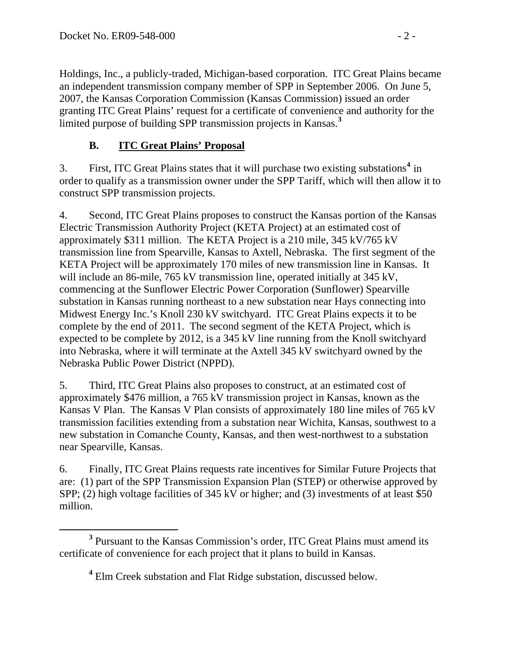Holdings, Inc., a publicly-traded, Michigan-based corporation. ITC Great Plains became an independent transmission company member of SPP in September 2006. On June 5, 2007, the Kansas Corporation Commission (Kansas Commission) issued an order granting ITC Great Plains' request for a certificate of convenience and authority for the limited purpose of building SPP transmission projects in Kansas.**<sup>3</sup>**

## **B. ITC Great Plains' Proposal**

3. First, ITC Great Plains states that it will purchase two existing substations**[4](#page-1-0)** in order to qualify as a transmission owner under the SPP Tariff, which will then allow it to construct SPP transmission projects.

4. Second, ITC Great Plains proposes to construct the Kansas portion of the Kansas Electric Transmission Authority Project (KETA Project) at an estimated cost of approximately \$311 million. The KETA Project is a 210 mile, 345 kV/765 kV transmission line from Spearville, Kansas to Axtell, Nebraska. The first segment of the KETA Project will be approximately 170 miles of new transmission line in Kansas. It will include an 86-mile, 765 kV transmission line, operated initially at 345 kV, commencing at the Sunflower Electric Power Corporation (Sunflower) Spearville substation in Kansas running northeast to a new substation near Hays connecting into Midwest Energy Inc.'s Knoll 230 kV switchyard. ITC Great Plains expects it to be complete by the end of 2011. The second segment of the KETA Project, which is expected to be complete by 2012, is a 345 kV line running from the Knoll switchyard into Nebraska, where it will terminate at the Axtell 345 kV switchyard owned by the Nebraska Public Power District (NPPD).

5. Third, ITC Great Plains also proposes to construct, at an estimated cost of approximately \$476 million, a 765 kV transmission project in Kansas, known as the Kansas V Plan. The Kansas V Plan consists of approximately 180 line miles of 765 kV transmission facilities extending from a substation near Wichita, Kansas, southwest to a new substation in Comanche County, Kansas, and then west-northwest to a substation near Spearville, Kansas.

6. Finally, ITC Great Plains requests rate incentives for Similar Future Projects that are: (1) part of the SPP Transmission Expansion Plan (STEP) or otherwise approved by SPP; (2) high voltage facilities of 345 kV or higher; and (3) investments of at least \$50 million.

<span id="page-1-0"></span>**<sup>3</sup>** <sup>3</sup> Pursuant to the Kansas Commission's order, ITC Great Plains must amend its certificate of convenience for each project that it plans to build in Kansas.

<sup>&</sup>lt;sup>4</sup> Elm Creek substation and Flat Ridge substation, discussed below.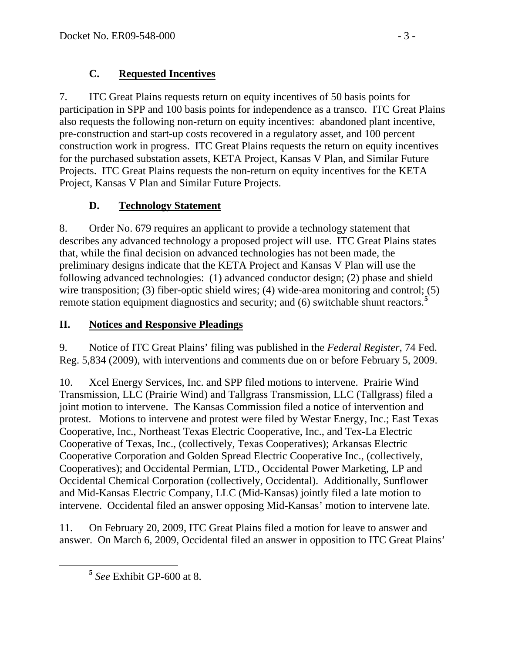# **C. Requested Incentives**

7. ITC Great Plains requests return on equity incentives of 50 basis points for participation in SPP and 100 basis points for independence as a transco. ITC Great Plains also requests the following non-return on equity incentives: abandoned plant incentive, pre-construction and start-up costs recovered in a regulatory asset, and 100 percent construction work in progress. ITC Great Plains requests the return on equity incentives for the purchased substation assets, KETA Project, Kansas V Plan, and Similar Future Projects. ITC Great Plains requests the non-return on equity incentives for the KETA Project, Kansas V Plan and Similar Future Projects.

# **D. Technology Statement**

8. Order No. 679 requires an applicant to provide a technology statement that describes any advanced technology a proposed project will use. ITC Great Plains states that, while the final decision on advanced technologies has not been made, the preliminary designs indicate that the KETA Project and Kansas V Plan will use the following advanced technologies: (1) advanced conductor design; (2) phase and shield wire transposition; (3) fiber-optic shield wires; (4) wide-area monitoring and control; (5) remote station equipment diagnostics and security; and (6) switchable shunt reactors.**[5](#page-2-0)**

# **II. Notices and Responsive Pleadings**

9. Notice of ITC Great Plains' filing was published in the *Federal Register*, 74 Fed. Reg. 5,834 (2009), with interventions and comments due on or before February 5, 2009.

10. Xcel Energy Services, Inc. and SPP filed motions to intervene. Prairie Wind Transmission, LLC (Prairie Wind) and Tallgrass Transmission, LLC (Tallgrass) filed a joint motion to intervene. The Kansas Commission filed a notice of intervention and protest. Motions to intervene and protest were filed by Westar Energy, Inc.; East Texas Cooperative, Inc., Northeast Texas Electric Cooperative, Inc., and Tex-La Electric Cooperative of Texas, Inc., (collectively, Texas Cooperatives); Arkansas Electric Cooperative Corporation and Golden Spread Electric Cooperative Inc., (collectively, Cooperatives); and Occidental Permian, LTD., Occidental Power Marketing, LP and Occidental Chemical Corporation (collectively, Occidental). Additionally, Sunflower and Mid-Kansas Electric Company, LLC (Mid-Kansas) jointly filed a late motion to intervene. Occidental filed an answer opposing Mid-Kansas' motion to intervene late.

<span id="page-2-0"></span>11. On February 20, 2009, ITC Great Plains filed a motion for leave to answer and answer. On March 6, 2009, Occidental filed an answer in opposition to ITC Great Plains'

**<sup>5</sup>** *See* Exhibit GP-600 at 8.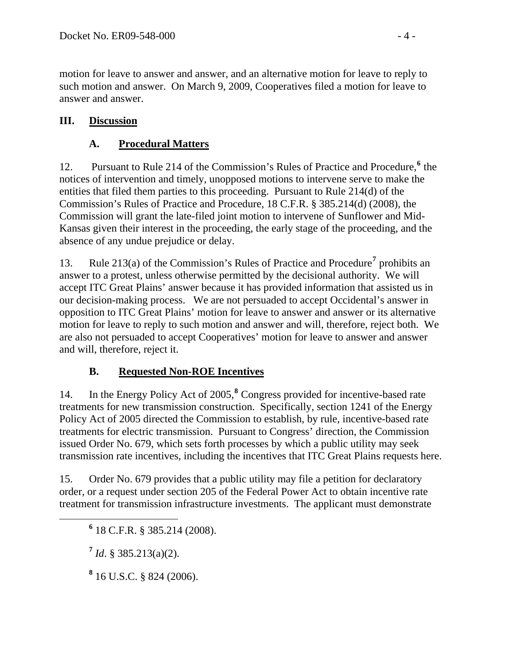motion for leave to answer and answer, and an alternative motion for leave to reply to such motion and answer. On March 9, 2009, Cooperatives filed a motion for leave to answer and answer.

## **III. Discussion**

# **A. Procedural Matters**

12. Pursuant to Rule 214 of the Commission's Rules of Practice and Procedure,<sup>[6](#page-3-0)</sup> the notices of intervention and timely, unopposed motions to intervene serve to make the entities that filed them parties to this proceeding. Pursuant to Rule 214(d) of the Commission's Rules of Practice and Procedure, 18 C.F.R. § 385.214(d) (2008), the Commission will grant the late-filed joint motion to intervene of Sunflower and Mid-Kansas given their interest in the proceeding, the early stage of the proceeding, and the absence of any undue prejudice or delay.

13. Rule 213(a) of the Commission's Rules of Practice and Procedure<sup>[7](#page-3-1)</sup> prohibits an answer to a protest, unless otherwise permitted by the decisional authority. We will accept ITC Great Plains' answer because it has provided information that assisted us in our decision-making process. We are not persuaded to accept Occidental's answer in opposition to ITC Great Plains' motion for leave to answer and answer or its alternative motion for leave to reply to such motion and answer and will, therefore, reject both. We are also not persuaded to accept Cooperatives' motion for leave to answer and answer and will, therefore, reject it.

# **B. Requested Non-ROE Incentives**

14. In the Energy Policy Act of 2005,**[8](#page-3-2)** Congress provided for incentive-based rate treatments for new transmission construction. Specifically, section 1241 of the Energy Policy Act of 2005 directed the Commission to establish, by rule, incentive-based rate treatments for electric transmission. Pursuant to Congress' direction, the Commission issued Order No. 679, which sets forth processes by which a public utility may seek transmission rate incentives, including the incentives that ITC Great Plains requests here.

15. Order No. 679 provides that a public utility may file a petition for declaratory order, or a request under section 205 of the Federal Power Act to obtain incentive rate treatment for transmission infrastructure investments. The applicant must demonstrate

<span id="page-3-2"></span><span id="page-3-1"></span><span id="page-3-0"></span> **<sup>6</sup>** 18 C.F.R. § 385.214 (2008).

**<sup>7</sup>** *Id*. § 385.213(a)(2).

**8** 16 U.S.C. § 824 (2006).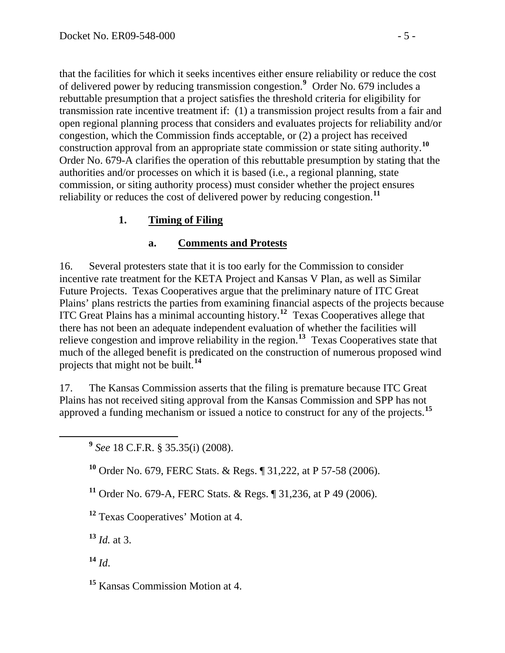that the facilities for which it seeks incentives either ensure reliability or reduce the cost of delivered power by reducing transmission congestion.**<sup>9</sup>** Order No. 679 includes a rebuttable presumption that a project satisfies the threshold criteria for eligibility for transmission rate incentive treatment if: (1) a transmission project results from a fair and open regional planning process that considers and evaluates projects for reliability and/or congestion, which the Commission finds acceptable, or (2) a project has received construction approval from an appropriate state commission or state siting authority.**<sup>10</sup>** Order No. 679-A clarifies the operation of this rebuttable presumption by stating that the authorities and/or processes on which it is based (i.e*.*, a regional planning, state commission, or siting authority process) must consider whether the project ensures reliability or reduces the cost of delivered power by reducing congestion.**<sup>11</sup>**

## **1. Timing of Filing**

#### **a. Comments and Protests**

16. Several protesters state that it is too early for the Commission to consider incentive rate treatment for the KETA Project and Kansas V Plan, as well as Similar Future Projects. Texas Cooperatives argue that the preliminary nature of ITC Great Plains' plans restricts the parties from examining financial aspects of the projects because ITC Great Plains has a minimal accounting history.**[12](#page-4-0)** Texas Cooperatives allege that there has not been an adequate independent evaluation of whether the facilities will relieve congestion and improve reliability in the region.**[13](#page-4-1)** Texas Cooperatives state that much of the alleged benefit is predicated on the construction of numerous proposed wind projects that might not be built.**[14](#page-4-2)**

17. The Kansas Commission asserts that the filing is premature because ITC Great Plains has not received siting approval from the Kansas Commission and SPP has not approved a funding mechanism or issued a notice to construct for any of the projects.**[15](#page-4-3)**

**<sup>9</sup>** *See* 18 C.F.R. § 35.35(i) (2008).

**<sup>10</sup>** Order No. 679, FERC Stats. & Regs. ¶ 31,222, at P 57-58 (2006).

**<sup>11</sup>** Order No. 679-A, FERC Stats. & Regs. ¶ 31,236, at P 49 (2006).

<span id="page-4-0"></span>**<sup>12</sup>** Texas Cooperatives' Motion at 4.

<span id="page-4-1"></span> $13$  *Id.* at 3.

<span id="page-4-2"></span>**<sup>14</sup>** *Id*.

<span id="page-4-3"></span>**<sup>15</sup>** Kansas Commission Motion at 4.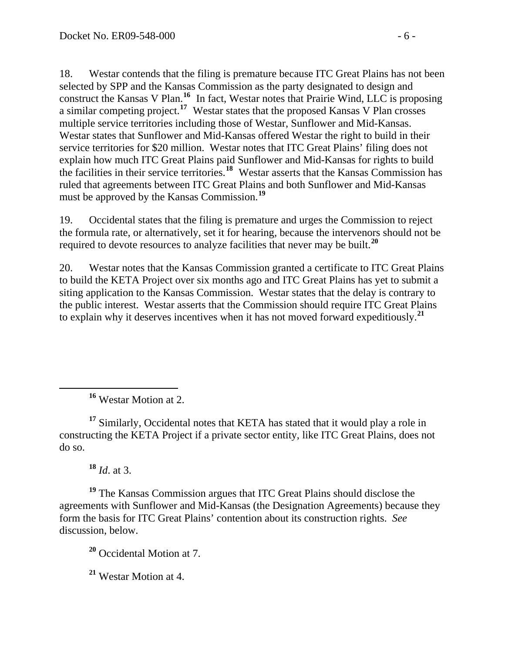18. Westar contends that the filing is premature because ITC Great Plains has not been selected by SPP and the Kansas Commission as the party designated to design and construct the Kansas V Plan.**[16](#page-5-0)** In fact, Westar notes that Prairie Wind, LLC is proposing a similar competing project.**[17](#page-5-1)** Westar states that the proposed Kansas V Plan crosses multiple service territories including those of Westar, Sunflower and Mid-Kansas. Westar states that Sunflower and Mid-Kansas offered Westar the right to build in their service territories for \$20 million. Westar notes that ITC Great Plains' filing does not explain how much ITC Great Plains paid Sunflower and Mid-Kansas for rights to build the facilities in their service territories.**[18](#page-5-2)** Westar asserts that the Kansas Commission has ruled that agreements between ITC Great Plains and both Sunflower and Mid-Kansas must be approved by the Kansas Commission.**[19](#page-5-3)**

19. Occidental states that the filing is premature and urges the Commission to reject the formula rate, or alternatively, set it for hearing, because the intervenors should not be required to devote resources to analyze facilities that never may be built.**[20](#page-5-4)**

20. Westar notes that the Kansas Commission granted a certificate to ITC Great Plains to build the KETA Project over six months ago and ITC Great Plains has yet to submit a siting application to the Kansas Commission. Westar states that the delay is contrary to the public interest. Westar asserts that the Commission should require ITC Great Plains to explain why it deserves incentives when it has not moved forward expeditiously.**[21](#page-5-5)**

**<sup>16</sup>** Westar Motion at 2.

<span id="page-5-1"></span>**<sup>17</sup>** Similarly, Occidental notes that KETA has stated that it would play a role in constructing the KETA Project if a private sector entity, like ITC Great Plains, does not do so.

**<sup>18</sup>** *Id*. at 3.

<span id="page-5-0"></span> $\overline{a}$ 

<span id="page-5-4"></span><span id="page-5-3"></span><span id="page-5-2"></span>**<sup>19</sup>** The Kansas Commission argues that ITC Great Plains should disclose the agreements with Sunflower and Mid-Kansas (the Designation Agreements) because they form the basis for ITC Great Plains' contention about its construction rights. *See* discussion, below.

**<sup>20</sup>** Occidental Motion at 7.

<span id="page-5-5"></span>**<sup>21</sup>** Westar Motion at 4.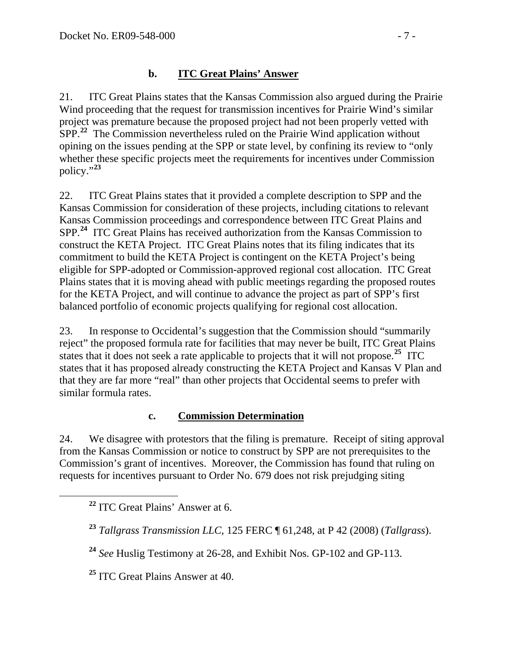# **b. ITC Great Plains' Answer**

21. ITC Great Plains states that the Kansas Commission also argued during the Prairie Wind proceeding that the request for transmission incentives for Prairie Wind's similar project was premature because the proposed project had not been properly vetted with SPP.**[22](#page-6-0)** The Commission nevertheless ruled on the Prairie Wind application without opining on the issues pending at the SPP or state level, by confining its review to "only whether these specific projects meet the requirements for incentives under Commission policy."**[23](#page-6-1)**

22. ITC Great Plains states that it provided a complete description to SPP and the Kansas Commission for consideration of these projects, including citations to relevant Kansas Commission proceedings and correspondence between ITC Great Plains and SPP.**[24](#page-6-2)** ITC Great Plains has received authorization from the Kansas Commission to construct the KETA Project. ITC Great Plains notes that its filing indicates that its commitment to build the KETA Project is contingent on the KETA Project's being eligible for SPP-adopted or Commission-approved regional cost allocation. ITC Great Plains states that it is moving ahead with public meetings regarding the proposed routes for the KETA Project, and will continue to advance the project as part of SPP's first balanced portfolio of economic projects qualifying for regional cost allocation.

23. In response to Occidental's suggestion that the Commission should "summarily reject" the proposed formula rate for facilities that may never be built, ITC Great Plains states that it does not seek a rate applicable to projects that it will not propose.<sup>[25](#page-6-3)</sup> ITC states that it has proposed already constructing the KETA Project and Kansas V Plan and that they are far more "real" than other projects that Occidental seems to prefer with similar formula rates.

## **c. Commission Determination**

24. We disagree with protestors that the filing is premature. Receipt of siting approval from the Kansas Commission or notice to construct by SPP are not prerequisites to the Commission's grant of incentives. Moreover, the Commission has found that ruling on requests for incentives pursuant to Order No. 679 does not risk prejudging siting

<span id="page-6-0"></span>**<sup>22</sup>** ITC Great Plains' Answer at 6.

<span id="page-6-2"></span>**<sup>24</sup>** *See* Huslig Testimony at 26-28, and Exhibit Nos. GP-102 and GP-113.

<span id="page-6-3"></span>**<sup>25</sup>** ITC Great Plains Answer at 40.

<span id="page-6-1"></span>**<sup>23</sup>** *Tallgrass Transmission LLC*, 125 FERC ¶ 61,248, at P 42 (2008) (*Tallgrass*).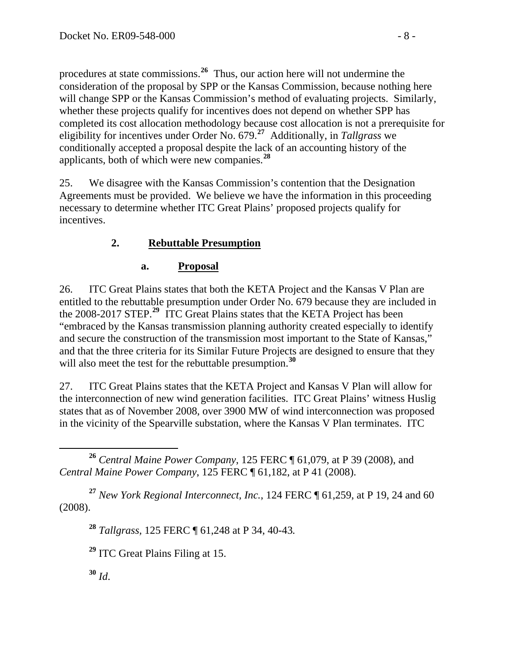procedures at state commissions.**<sup>26</sup>** Thus, our action here will not undermine the consideration of the proposal by SPP or the Kansas Commission, because nothing here will change SPP or the Kansas Commission's method of evaluating projects. Similarly, whether these projects qualify for incentives does not depend on whether SPP has completed its cost allocation methodology because cost allocation is not a prerequisite for eligibility for incentives under Order No. 679.**<sup>27</sup>** Additionally, in *Tallgrass* we conditionally accepted a proposal despite the lack of an accounting history of the applicants, both of which were new companies.**<sup>28</sup>**

25. We disagree with the Kansas Commission's contention that the Designation Agreements must be provided. We believe we have the information in this proceeding necessary to determine whether ITC Great Plains' proposed projects qualify for incentives.

# **2. Rebuttable Presumption**

# **a. Proposal**

26. ITC Great Plains states that both the KETA Project and the Kansas V Plan are entitled to the rebuttable presumption under Order No. 679 because they are included in the 2008-2017 STEP.**[29](#page-7-0)** ITC Great Plains states that the KETA Project has been "embraced by the Kansas transmission planning authority created especially to identify and secure the construction of the transmission most important to the State of Kansas," and that the three criteria for its Similar Future Projects are designed to ensure that they will also meet the test for the rebuttable presumption.<sup>[30](#page-7-1)</sup>

27. ITC Great Plains states that the KETA Project and Kansas V Plan will allow for the interconnection of new wind generation facilities.ITC Great Plains' witness Huslig states that as of November 2008, over 3900 MW of wind interconnection was proposed in the vicinity of the Spearville substation, where the Kansas V Plan terminates. ITC

<span id="page-7-0"></span>**<sup>27</sup>** *New York Regional Interconnect, Inc.*, 124 FERC ¶ 61,259, at P 19, 24 and 60 (2008).

**<sup>28</sup>** *Tallgrass,* 125 FERC ¶ 61,248 at P 34, 40-43*.*

**<sup>29</sup>** ITC Great Plains Filing at 15.

<span id="page-7-1"></span>**<sup>30</sup>** *Id*.

**<sup>26</sup>** *Central Maine Power Company*, 125 FERC ¶ 61,079, at P 39 (2008), and *Central Maine Power Company*, 125 FERC ¶ 61,182, at P 41 (2008).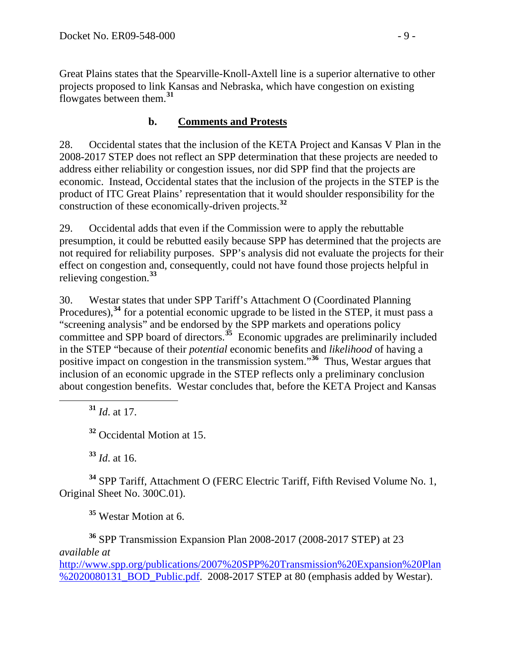Great Plains states that the Spearville-Knoll-Axtell line is a superior alternative to other projects proposed to link Kansas and Nebraska, which have congestion on existing flowgates between them.**<sup>31</sup>**

## **b. Comments and Protests**

28. Occidental states that the inclusion of the KETA Project and Kansas V Plan in the 2008-2017 STEP does not reflect an SPP determination that these projects are needed to address either reliability or congestion issues, nor did SPP find that the projects are economic. Instead, Occidental states that the inclusion of the projects in the STEP is the product of ITC Great Plains' representation that it would shoulder responsibility for the construction of these economically-driven projects.**[32](#page-8-0)**

29. Occidental adds that even if the Commission were to apply the rebuttable presumption, it could be rebutted easily because SPP has determined that the projects are not required for reliability purposes. SPP's analysis did not evaluate the projects for their effect on congestion and, consequently, could not have found those projects helpful in relieving congestion.**[33](#page-8-1)**

30. Westar states that under SPP Tariff's Attachment O (Coordinated Planning Procedures),**[34](#page-8-2)** for a potential economic upgrade to be listed in the STEP, it must pass a "screening analysis" and be endorsed by the SPP markets and operations policy committee and SPP board of directors.**[35](#page-8-3)** Economic upgrades are preliminarily included in the STEP "because of their *potential* economic benefits and *likelihood* of having a positive impact on congestion in the transmission system."**[36](#page-8-4)** Thus, Westar argues that inclusion of an economic upgrade in the STEP reflects only a preliminary conclusion about congestion benefits. Westar concludes that, before the KETA Project and Kansas

**<sup>31</sup>** *Id*. at 17.

**<sup>32</sup>** Occidental Motion at 15.

**<sup>33</sup>** *Id*. at 16.

<span id="page-8-2"></span><span id="page-8-1"></span><span id="page-8-0"></span>**<sup>34</sup>** SPP Tariff, Attachment O (FERC Electric Tariff, Fifth Revised Volume No. 1, Original Sheet No. 300C.01).

**<sup>35</sup>** Westar Motion at 6.

<span id="page-8-4"></span><span id="page-8-3"></span>**<sup>36</sup>** SPP Transmission Expansion Plan 2008-2017 (2008-2017 STEP) at 23 *available at*

[http://www.spp.org/publications/2007%20SPP%20Transmission%20Expansion%20Plan](http://www.spp.org/publications/2007%20SPP%20Transmission%20Expansion%20Plan%2020080131_BOD_Public.pdf) [%2020080131\\_BOD\\_Public.pdf](http://www.spp.org/publications/2007%20SPP%20Transmission%20Expansion%20Plan%2020080131_BOD_Public.pdf). 2008-2017 STEP at 80 (emphasis added by Westar).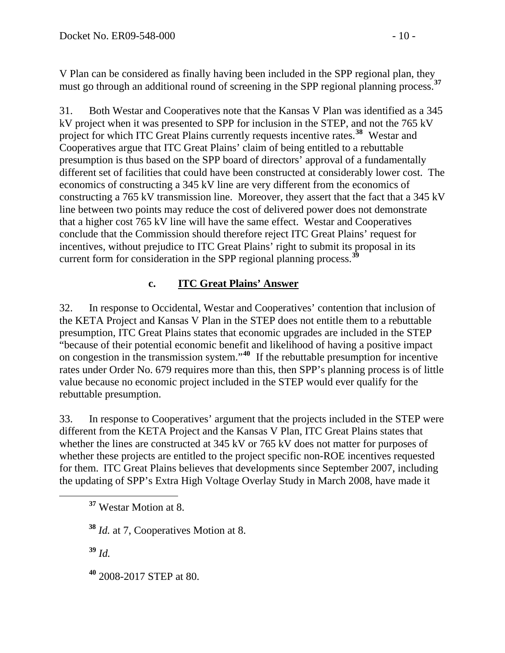V Plan can be considered as finally having been included in the SPP regional plan, they must go through an additional round of screening in the SPP regional planning process.<sup>37</sup>

31. Both Westar and Cooperatives note that the Kansas V Plan was identified as a 345 kV project when it was presented to SPP for inclusion in the STEP, and not the 765 kV project for which ITC Great Plains currently requests incentive rates.**[38](#page-9-0)** Westar and Cooperatives argue that ITC Great Plains' claim of being entitled to a rebuttable presumption is thus based on the SPP board of directors' approval of a fundamentally different set of facilities that could have been constructed at considerably lower cost. The economics of constructing a 345 kV line are very different from the economics of constructing a 765 kV transmission line. Moreover, they assert that the fact that a 345 kV line between two points may reduce the cost of delivered power does not demonstrate that a higher cost 765 kV line will have the same effect. Westar and Cooperatives conclude that the Commission should therefore reject ITC Great Plains' request for incentives, without prejudice to ITC Great Plains' right to submit its proposal in its current form for consideration in the SPP regional planning process.**[39](#page-9-1)**

## **c. ITC Great Plains' Answer**

32. In response to Occidental, Westar and Cooperatives' contention that inclusion of the KETA Project and Kansas V Plan in the STEP does not entitle them to a rebuttable presumption, ITC Great Plains states that economic upgrades are included in the STEP "because of their potential economic benefit and likelihood of having a positive impact on congestion in the transmission system."**[40](#page-9-2)** If the rebuttable presumption for incentive rates under Order No. 679 requires more than this, then SPP's planning process is of little value because no economic project included in the STEP would ever qualify for the rebuttable presumption.

33. In response to Cooperatives' argument that the projects included in the STEP were different from the KETA Project and the Kansas V Plan, ITC Great Plains states that whether the lines are constructed at 345 kV or 765 kV does not matter for purposes of whether these projects are entitled to the project specific non-ROE incentives requested for them. ITC Great Plains believes that developments since September 2007, including the updating of SPP's Extra High Voltage Overlay Study in March 2008, have made it

**<sup>37</sup>** Westar Motion at 8.

<span id="page-9-0"></span>**<sup>38</sup>** *Id.* at 7, Cooperatives Motion at 8.

<span id="page-9-1"></span>**<sup>39</sup>** *Id.*

<span id="page-9-2"></span>**<sup>40</sup>** 2008-2017 STEP at 80.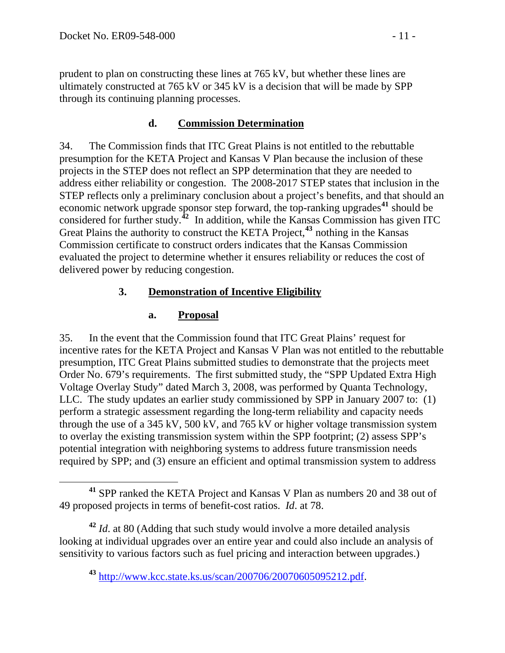prudent to plan on constructing these lines at 765 kV, but whether these lines are ultimately constructed at 765 kV or 345 kV is a decision that will be made by SPP through its continuing planning processes.

#### **d. Commission Determination**

34. The Commission finds that ITC Great Plains is not entitled to the rebuttable presumption for the KETA Project and Kansas V Plan because the inclusion of these projects in the STEP does not reflect an SPP determination that they are needed to address either reliability or congestion. The 2008-2017 STEP states that inclusion in the STEP reflects only a preliminary conclusion about a project's benefits, and that should an economic network upgrade sponsor step forward, the top-ranking upgrades**[41](#page-10-0)** should be considered for further study.**[42](#page-10-1)** In addition, while the Kansas Commission has given ITC Great Plains the authority to construct the KETA Project,**[43](#page-10-2)** nothing in the Kansas Commission certificate to construct orders indicates that the Kansas Commission evaluated the project to determine whether it ensures reliability or reduces the cost of delivered power by reducing congestion.

#### **3. Demonstration of Incentive Eligibility**

#### **a. Proposal**

35. In the event that the Commission found that ITC Great Plains' request for incentive rates for the KETA Project and Kansas V Plan was not entitled to the rebuttable presumption, ITC Great Plains submitted studies to demonstrate that the projects meet Order No. 679's requirements. The first submitted study, the "SPP Updated Extra High Voltage Overlay Study" dated March 3, 2008, was performed by Quanta Technology, LLC. The study updates an earlier study commissioned by SPP in January 2007 to: (1) perform a strategic assessment regarding the long-term reliability and capacity needs through the use of a 345 kV, 500 kV, and 765 kV or higher voltage transmission system to overlay the existing transmission system within the SPP footprint; (2) assess SPP's potential integration with neighboring systems to address future transmission needs required by SPP; and (3) ensure an efficient and optimal transmission system to address

<span id="page-10-2"></span><span id="page-10-1"></span>**<sup>42</sup>** *Id*. at 80 (Adding that such study would involve a more detailed analysis looking at individual upgrades over an entire year and could also include an analysis of sensitivity to various factors such as fuel pricing and interaction between upgrades.)

<span id="page-10-0"></span>**<sup>41</sup>** SPP ranked the KETA Project and Kansas V Plan as numbers 20 and 38 out of 49 proposed projects in terms of benefit-cost ratios. *Id*. at 78.

**<sup>43</sup>** [http://www.kcc.state.ks.us/scan/200706/20070605095212.pdf.](http://www.kcc.state.ks.us/scan/200706/20070605095212.pdf)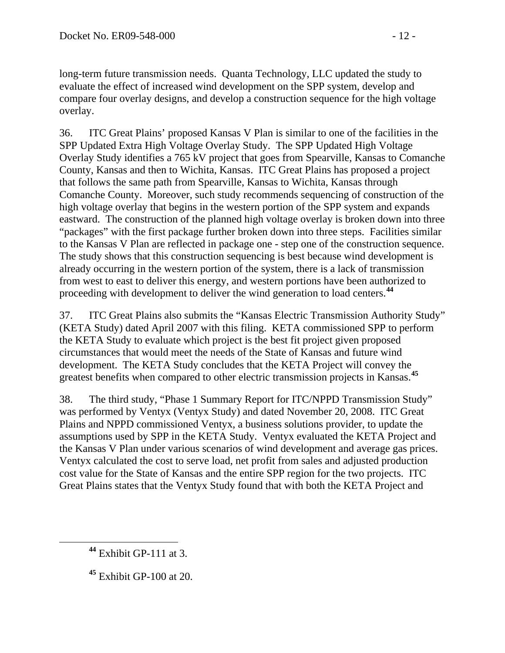long-term future transmission needs. Quanta Technology, LLC updated the study to evaluate the effect of increased wind development on the SPP system, develop and compare four overlay designs, and develop a construction sequence for the high voltage overlay.

36. ITC Great Plains' proposed Kansas V Plan is similar to one of the facilities in the SPP Updated Extra High Voltage Overlay Study. The SPP Updated High Voltage Overlay Study identifies a 765 kV project that goes from Spearville, Kansas to Comanche County, Kansas and then to Wichita, Kansas. ITC Great Plains has proposed a project that follows the same path from Spearville, Kansas to Wichita, Kansas through Comanche County. Moreover, such study recommends sequencing of construction of the high voltage overlay that begins in the western portion of the SPP system and expands eastward. The construction of the planned high voltage overlay is broken down into three "packages" with the first package further broken down into three steps. Facilities similar to the Kansas V Plan are reflected in package one - step one of the construction sequence. The study shows that this construction sequencing is best because wind development is already occurring in the western portion of the system, there is a lack of transmission from west to east to deliver this energy, and western portions have been authorized to proceeding with development to deliver the wind generation to load centers.**[44](#page-11-0)**

37. ITC Great Plains also submits the "Kansas Electric Transmission Authority Study" (KETA Study) dated April 2007 with this filing. KETA commissioned SPP to perform the KETA Study to evaluate which project is the best fit project given proposed circumstances that would meet the needs of the State of Kansas and future wind development. The KETA Study concludes that the KETA Project will convey the greatest benefits when compared to other electric transmission projects in Kansas.**[45](#page-11-1)**

38. The third study, "Phase 1 Summary Report for ITC/NPPD Transmission Study" was performed by Ventyx (Ventyx Study) and dated November 20, 2008. ITC Great Plains and NPPD commissioned Ventyx, a business solutions provider, to update the assumptions used by SPP in the KETA Study. Ventyx evaluated the KETA Project and the Kansas V Plan under various scenarios of wind development and average gas prices. Ventyx calculated the cost to serve load, net profit from sales and adjusted production cost value for the State of Kansas and the entire SPP region for the two projects. ITC Great Plains states that the Ventyx Study found that with both the KETA Project and

<span id="page-11-1"></span><span id="page-11-0"></span> $\overline{a}$ 

**<sup>44</sup>** Exhibit GP-111 at 3.

**<sup>45</sup>** Exhibit GP-100 at 20.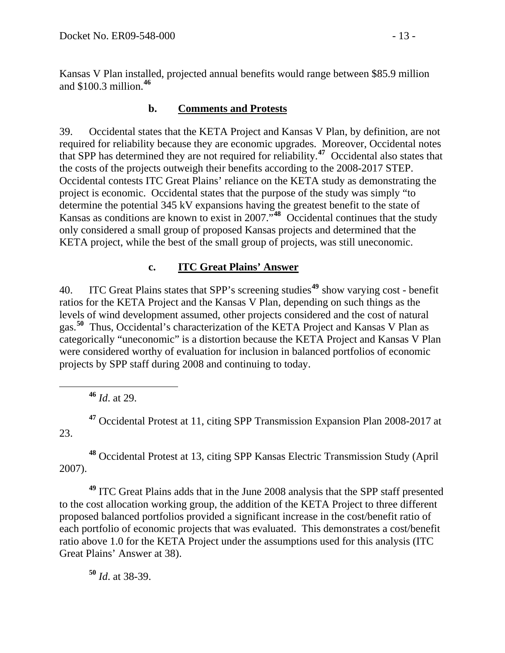Kansas V Plan installed, projected annual benefits would range between \$85.9 million and \$100.3 million.**<sup>46</sup>**

#### **b. Comments and Protests**

39. Occidental states that the KETA Project and Kansas V Plan, by definition, are not required for reliability because they are economic upgrades. Moreover, Occidental notes that SPP has determined they are not required for reliability.**[47](#page-12-0)** Occidental also states that the costs of the projects outweigh their benefits according to the 2008-2017 STEP. Occidental contests ITC Great Plains' reliance on the KETA study as demonstrating the project is economic. Occidental states that the purpose of the study was simply "to determine the potential 345 kV expansions having the greatest benefit to the state of Kansas as conditions are known to exist in 2007."**[48](#page-12-1)** Occidental continues that the study only considered a small group of proposed Kansas projects and determined that the KETA project, while the best of the small group of projects, was still uneconomic.

## **c. ITC Great Plains' Answer**

40. ITC Great Plains states that SPP's screening studies**[49](#page-12-2)** show varying cost - benefit ratios for the KETA Project and the Kansas V Plan, depending on such things as the levels of wind development assumed, other projects considered and the cost of natural gas.**[50](#page-12-3)** Thus, Occidental's characterization of the KETA Project and Kansas V Plan as categorically "uneconomic" is a distortion because the KETA Project and Kansas V Plan were considered worthy of evaluation for inclusion in balanced portfolios of economic projects by SPP staff during 2008 and continuing to today.

**<sup>46</sup>** *Id*. at 29.

<span id="page-12-0"></span>**<sup>47</sup>** Occidental Protest at 11, citing SPP Transmission Expansion Plan 2008-2017 at 23.

<span id="page-12-1"></span>**<sup>48</sup>** Occidental Protest at 13, citing SPP Kansas Electric Transmission Study (April 2007).

<span id="page-12-2"></span>**<sup>49</sup>** ITC Great Plains adds that in the June 2008 analysis that the SPP staff presented to the cost allocation working group, the addition of the KETA Project to three different proposed balanced portfolios provided a significant increase in the cost/benefit ratio of each portfolio of economic projects that was evaluated. This demonstrates a cost/benefit ratio above 1.0 for the KETA Project under the assumptions used for this analysis (ITC Great Plains' Answer at 38).

<span id="page-12-3"></span>**<sup>50</sup>** *Id*. at 38-39.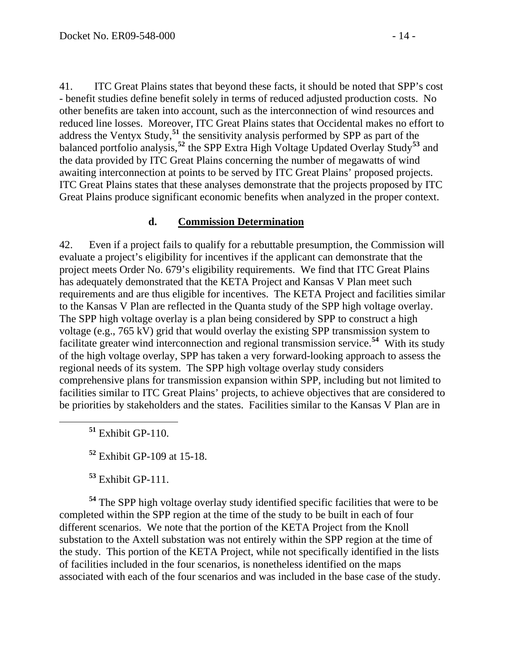41. ITC Great Plains states that beyond these facts, it should be noted that SPP's cost - benefit studies define benefit solely in terms of reduced adjusted production costs. No other benefits are taken into account, such as the interconnection of wind resources and reduced line losses. Moreover, ITC Great Plains states that Occidental makes no effort to address the Ventyx Study,**[51](#page-13-0)** the sensitivity analysis performed by SPP as part of the balanced portfolio analysis,**[52](#page-13-1)** the SPP Extra High Voltage Updated Overlay Study**[53](#page-13-2)** and the data provided by ITC Great Plains concerning the number of megawatts of wind awaiting interconnection at points to be served by ITC Great Plains' proposed projects. ITC Great Plains states that these analyses demonstrate that the projects proposed by ITC Great Plains produce significant economic benefits when analyzed in the proper context.

#### **d. Commission Determination**

42. Even if a project fails to qualify for a rebuttable presumption, the Commission will evaluate a project's eligibility for incentives if the applicant can demonstrate that the project meets Order No. 679's eligibility requirements. We find that ITC Great Plains has adequately demonstrated that the KETA Project and Kansas V Plan meet such requirements and are thus eligible for incentives. The KETA Project and facilities similar to the Kansas V Plan are reflected in the Quanta study of the SPP high voltage overlay. The SPP high voltage overlay is a plan being considered by SPP to construct a high voltage (e.g., 765 kV) grid that would overlay the existing SPP transmission system to facilitate greater wind interconnection and regional transmission service.**[54](#page-13-3)** With its study of the high voltage overlay, SPP has taken a very forward-looking approach to assess the regional needs of its system. The SPP high voltage overlay study considers comprehensive plans for transmission expansion within SPP, including but not limited to facilities similar to ITC Great Plains' projects, to achieve objectives that are considered to be priorities by stakeholders and the states. Facilities similar to the Kansas V Plan are in

<span id="page-13-0"></span>**<sup>51</sup>** Exhibit GP-110.

**<sup>52</sup>** Exhibit GP-109 at 15-18.

**<sup>53</sup>** Exhibit GP-111.

<span id="page-13-3"></span><span id="page-13-2"></span><span id="page-13-1"></span>**<sup>54</sup>** The SPP high voltage overlay study identified specific facilities that were to be completed within the SPP region at the time of the study to be built in each of four different scenarios. We note that the portion of the KETA Project from the Knoll substation to the Axtell substation was not entirely within the SPP region at the time of the study. This portion of the KETA Project, while not specifically identified in the lists of facilities included in the four scenarios, is nonetheless identified on the maps associated with each of the four scenarios and was included in the base case of the study.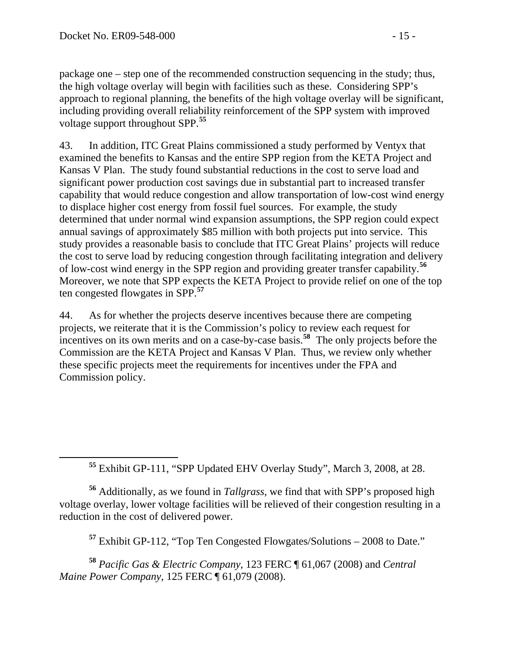$\overline{a}$ 

package one – step one of the recommended construction sequencing in the study; thus, the high voltage overlay will begin with facilities such as these. Considering SPP's approach to regional planning, the benefits of the high voltage overlay will be significant, including providing overall reliability reinforcement of the SPP system with improved voltage support throughout SPP.**<sup>55</sup>**

43. In addition, ITC Great Plains commissioned a study performed by Ventyx that examined the benefits to Kansas and the entire SPP region from the KETA Project and Kansas V Plan. The study found substantial reductions in the cost to serve load and significant power production cost savings due in substantial part to increased transfer capability that would reduce congestion and allow transportation of low-cost wind energy to displace higher cost energy from fossil fuel sources. For example, the study determined that under normal wind expansion assumptions, the SPP region could expect annual savings of approximately \$85 million with both projects put into service. This study provides a reasonable basis to conclude that ITC Great Plains' projects will reduce the cost to serve load by reducing congestion through facilitating integration and delivery of low-cost wind energy in the SPP region and providing greater transfer capability.**[56](#page-14-0)** Moreover, we note that SPP expects the KETA Project to provide relief on one of the top ten congested flowgates in SPP.**[57](#page-14-1)**

44. As for whether the projects deserve incentives because there are competing projects, we reiterate that it is the Commission's policy to review each request for incentives on its own merits and on a case-by-case basis.**[58](#page-14-2)** The only projects before the Commission are the KETA Project and Kansas V Plan. Thus, we review only whether these specific projects meet the requirements for incentives under the FPA and Commission policy.

**<sup>55</sup>** Exhibit GP-111, "SPP Updated EHV Overlay Study", March 3, 2008, at 28.

<span id="page-14-0"></span>**<sup>56</sup>** Additionally, as we found in *Tallgrass*, we find that with SPP's proposed high voltage overlay, lower voltage facilities will be relieved of their congestion resulting in a reduction in the cost of delivered power.

**<sup>57</sup>** Exhibit GP-112, "Top Ten Congested Flowgates/Solutions – 2008 to Date."

<span id="page-14-2"></span><span id="page-14-1"></span>**<sup>58</sup>** *Pacific Gas & Electric Company*, 123 FERC ¶ 61,067 (2008) and *Central Maine Power Company*, 125 FERC ¶ 61,079 (2008).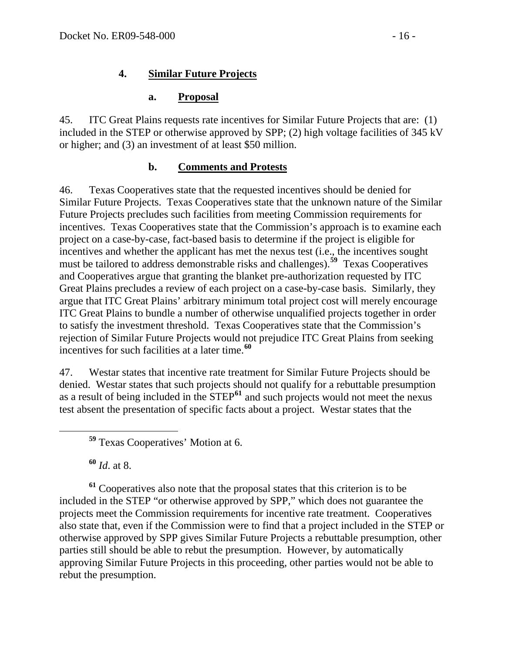#### **a. Proposal**

45. ITC Great Plains requests rate incentives for Similar Future Projects that are: (1) included in the STEP or otherwise approved by SPP; (2) high voltage facilities of 345 kV or higher; and (3) an investment of at least \$50 million.

## **b. Comments and Protests**

46. Texas Cooperatives state that the requested incentives should be denied for Similar Future Projects. Texas Cooperatives state that the unknown nature of the Similar Future Projects precludes such facilities from meeting Commission requirements for incentives. Texas Cooperatives state that the Commission's approach is to examine each project on a case-by-case, fact-based basis to determine if the project is eligible for incentives and whether the applicant has met the nexus test (i.e., the incentives sought must be tailored to address demonstrable risks and challenges).**[59](#page-15-0)** Texas Cooperatives and Cooperatives argue that granting the blanket pre-authorization requested by ITC Great Plains precludes a review of each project on a case-by-case basis. Similarly, they argue that ITC Great Plains' arbitrary minimum total project cost will merely encourage ITC Great Plains to bundle a number of otherwise unqualified projects together in order to satisfy the investment threshold. Texas Cooperatives state that the Commission's rejection of Similar Future Projects would not prejudice ITC Great Plains from seeking incentives for such facilities at a later time.**[60](#page-15-1)**

47. Westar states that incentive rate treatment for Similar Future Projects should be denied. Westar states that such projects should not qualify for a rebuttable presumption as a result of being included in the STEP**[61](#page-15-2)** and such projects would not meet the nexus test absent the presentation of specific facts about a project. Westar states that the

**<sup>60</sup>** *Id*. at 8.

<span id="page-15-2"></span><span id="page-15-1"></span><span id="page-15-0"></span>**<sup>61</sup>** Cooperatives also note that the proposal states that this criterion is to be included in the STEP "or otherwise approved by SPP," which does not guarantee the projects meet the Commission requirements for incentive rate treatment. Cooperatives also state that, even if the Commission were to find that a project included in the STEP or otherwise approved by SPP gives Similar Future Projects a rebuttable presumption, other parties still should be able to rebut the presumption. However, by automatically approving Similar Future Projects in this proceeding, other parties would not be able to rebut the presumption.

**<sup>59</sup>** Texas Cooperatives' Motion at 6.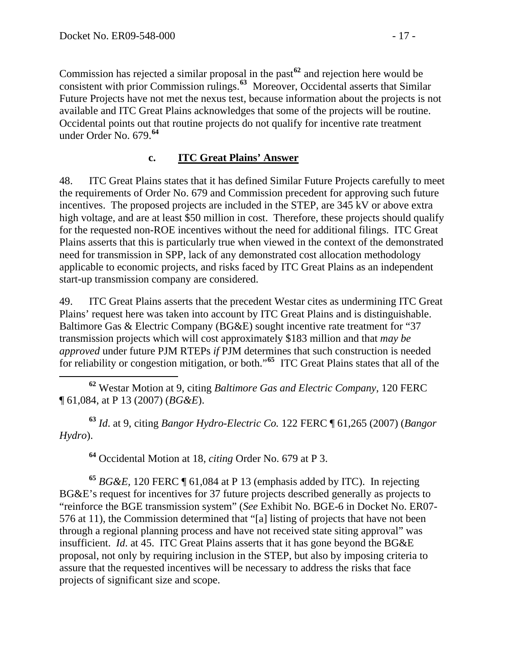Commission has rejected a similar proposal in the past**<sup>62</sup>** and rejection here would be consistent with prior Commission rulings.**<sup>63</sup>** Moreover, Occidental asserts that Similar Future Projects have not met the nexus test, because information about the projects is not available and ITC Great Plains acknowledges that some of the projects will be routine. Occidental points out that routine projects do not qualify for incentive rate treatment under Order No. 679.**<sup>64</sup>**

#### **c. ITC Great Plains' Answer**

48. ITC Great Plains states that it has defined Similar Future Projects carefully to meet the requirements of Order No. 679 and Commission precedent for approving such future incentives. The proposed projects are included in the STEP, are 345 kV or above extra high voltage, and are at least \$50 million in cost. Therefore, these projects should qualify for the requested non-ROE incentives without the need for additional filings. ITC Great Plains asserts that this is particularly true when viewed in the context of the demonstrated need for transmission in SPP, lack of any demonstrated cost allocation methodology applicable to economic projects, and risks faced by ITC Great Plains as an independent start-up transmission company are considered.

49. ITC Great Plains asserts that the precedent Westar cites as undermining ITC Great Plains' request here was taken into account by ITC Great Plains and is distinguishable. Baltimore Gas & Electric Company (BG&E) sought incentive rate treatment for "37 transmission projects which will cost approximately \$183 million and that *may be approved* under future PJM RTEPs *if* PJM determines that such construction is needed for reliability or congestion mitigation, or both."**[65](#page-16-0)** ITC Great Plains states that all of the

 **<sup>62</sup>** Westar Motion at 9, citing *Baltimore Gas and Electric Company*, 120 FERC ¶ 61,084, at P 13 (2007) (*BG&E*).

**<sup>63</sup>** *Id*. at 9, citing *Bangor Hydro-Electric Co.* 122 FERC ¶ 61,265 (2007) (*Bangor Hydro*).

**<sup>64</sup>** Occidental Motion at 18, *citing* Order No. 679 at P 3.

<span id="page-16-0"></span>**<sup>65</sup>** *BG&E,* 120 FERC ¶ 61,084 at P 13 (emphasis added by ITC). In rejecting BG&E's request for incentives for 37 future projects described generally as projects to "reinforce the BGE transmission system" (*See* Exhibit No. BGE-6 in Docket No. ER07- 576 at 11), the Commission determined that "[a] listing of projects that have not been through a regional planning process and have not received state siting approval" was insufficient. *Id*. at 45. ITC Great Plains asserts that it has gone beyond the BG&E proposal, not only by requiring inclusion in the STEP, but also by imposing criteria to assure that the requested incentives will be necessary to address the risks that face projects of significant size and scope.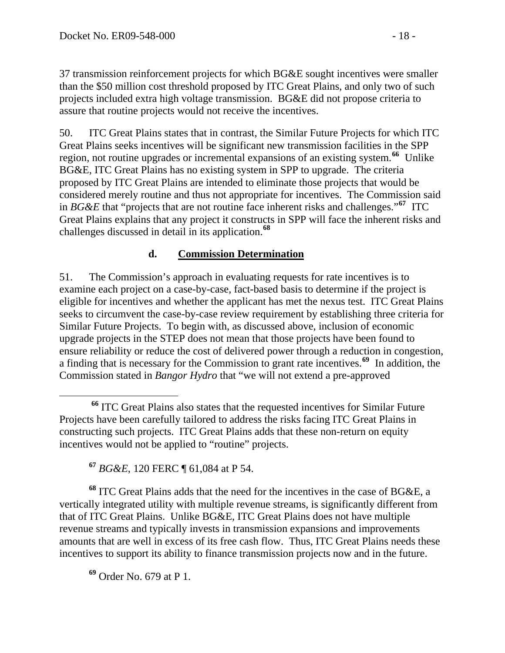37 transmission reinforcement projects for which BG&E sought incentives were smaller than the \$50 million cost threshold proposed by ITC Great Plains, and only two of such projects included extra high voltage transmission. BG&E did not propose criteria to assure that routine projects would not receive the incentives.

50. ITC Great Plains states that in contrast, the Similar Future Projects for which ITC Great Plains seeks incentives will be significant new transmission facilities in the SPP region, not routine upgrades or incremental expansions of an existing system.**[66](#page-17-0)** Unlike BG&E, ITC Great Plains has no existing system in SPP to upgrade. The criteria proposed by ITC Great Plains are intended to eliminate those projects that would be considered merely routine and thus not appropriate for incentives. The Commission said in *BG&E* that "projects that are not routine face inherent risks and challenges."**[67](#page-17-1)** ITC Great Plains explains that any project it constructs in SPP will face the inherent risks and challenges discussed in detail in its application.**[68](#page-17-2)**

#### **d. Commission Determination**

51. The Commission's approach in evaluating requests for rate incentives is to examine each project on a case-by-case, fact-based basis to determine if the project is eligible for incentives and whether the applicant has met the nexus test. ITC Great Plains seeks to circumvent the case-by-case review requirement by establishing three criteria for Similar Future Projects. To begin with, as discussed above, inclusion of economic upgrade projects in the STEP does not mean that those projects have been found to ensure reliability or reduce the cost of delivered power through a reduction in congestion, a finding that is necessary for the Commission to grant rate incentives.**[69](#page-17-3)** In addition, the Commission stated in *Bangor Hydro* that "we will not extend a pre-approved

**<sup>67</sup>** *BG&E*, 120 FERC ¶ 61,084 at P 54.

<span id="page-17-2"></span><span id="page-17-1"></span>**<sup>68</sup>** ITC Great Plains adds that the need for the incentives in the case of BG&E, a vertically integrated utility with multiple revenue streams, is significantly different from that of ITC Great Plains. Unlike BG&E, ITC Great Plains does not have multiple revenue streams and typically invests in transmission expansions and improvements amounts that are well in excess of its free cash flow. Thus, ITC Great Plains needs these incentives to support its ability to finance transmission projects now and in the future.

<span id="page-17-3"></span>**<sup>69</sup>** Order No. 679 at P 1.

<span id="page-17-0"></span>**<sup>66</sup>** ITC Great Plains also states that the requested incentives for Similar Future Projects have been carefully tailored to address the risks facing ITC Great Plains in constructing such projects. ITC Great Plains adds that these non-return on equity incentives would not be applied to "routine" projects.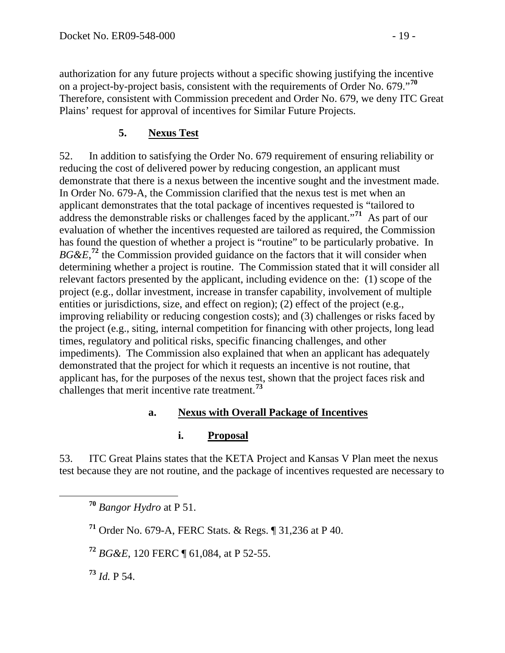authorization for any future projects without a specific showing justifying the incentive on a project-by-project basis, consistent with the requirements of Order No. 679."**<sup>70</sup>** Therefore, consistent with Commission precedent and Order No. 679, we deny ITC Great Plains' request for approval of incentives for Similar Future Projects.

## **5. Nexus Test**

52. In addition to satisfying the Order No. 679 requirement of ensuring reliability or reducing the cost of delivered power by reducing congestion, an applicant must demonstrate that there is a nexus between the incentive sought and the investment made. In Order No. 679-A, the Commission clarified that the nexus test is met when an applicant demonstrates that the total package of incentives requested is "tailored to address the demonstrable risks or challenges faced by the applicant."**[71](#page-18-0)** As part of our evaluation of whether the incentives requested are tailored as required, the Commission has found the question of whether a project is "routine" to be particularly probative. In  $BG\&E$ <sup>[72](#page-18-1)</sup>, the Commission provided guidance on the factors that it will consider when determining whether a project is routine. The Commission stated that it will consider all relevant factors presented by the applicant, including evidence on the: (1) scope of the project (e.g., dollar investment, increase in transfer capability, involvement of multiple entities or jurisdictions, size, and effect on region); (2) effect of the project (e.g., improving reliability or reducing congestion costs); and (3) challenges or risks faced by the project (e.g., siting, internal competition for financing with other projects, long lead times, regulatory and political risks, specific financing challenges, and other impediments). The Commission also explained that when an applicant has adequately demonstrated that the project for which it requests an incentive is not routine, that applicant has, for the purposes of the nexus test, shown that the project faces risk and challenges that merit incentive rate treatment.**[73](#page-18-2)**

#### **a. Nexus with Overall Package of Incentives**

#### **i. Proposal**

53. ITC Great Plains states that the KETA Project and Kansas V Plan meet the nexus test because they are not routine, and the package of incentives requested are necessary to

**<sup>70</sup>** *Bangor Hydro* at P 51.

<span id="page-18-0"></span>**<sup>71</sup>** Order No. 679-A, FERC Stats. & Regs. ¶ 31,236 at P 40.

<span id="page-18-1"></span>**<sup>72</sup>** *BG&E*, 120 FERC ¶ 61,084, at P 52-55.

<span id="page-18-2"></span>**<sup>73</sup>** *Id.* P 54.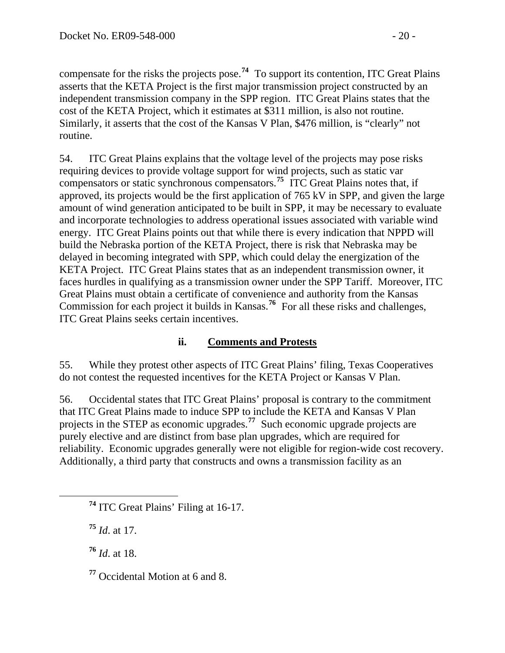compensate for the risks the projects pose.**<sup>74</sup>** To support its contention, ITC Great Plains asserts that the KETA Project is the first major transmission project constructed by an independent transmission company in the SPP region. ITC Great Plains states that the cost of the KETA Project, which it estimates at \$311 million, is also not routine. Similarly, it asserts that the cost of the Kansas V Plan, \$476 million, is "clearly" not routine.

54. ITC Great Plains explains that the voltage level of the projects may pose risks requiring devices to provide voltage support for wind projects, such as static var compensators or static synchronous compensators.**[75](#page-19-0)** ITC Great Plains notes that, if approved, its projects would be the first application of 765 kV in SPP, and given the large amount of wind generation anticipated to be built in SPP, it may be necessary to evaluate and incorporate technologies to address operational issues associated with variable wind energy. ITC Great Plains points out that while there is every indication that NPPD will build the Nebraska portion of the KETA Project, there is risk that Nebraska may be delayed in becoming integrated with SPP, which could delay the energization of the KETA Project. ITC Great Plains states that as an independent transmission owner, it faces hurdles in qualifying as a transmission owner under the SPP Tariff. Moreover, ITC Great Plains must obtain a certificate of convenience and authority from the Kansas Commission for each project it builds in Kansas.**[76](#page-19-1)** For all these risks and challenges, ITC Great Plains seeks certain incentives.

## **ii. Comments and Protests**

55. While they protest other aspects of ITC Great Plains' filing, Texas Cooperatives do not contest the requested incentives for the KETA Project or Kansas V Plan.

56. Occidental states that ITC Great Plains' proposal is contrary to the commitment that ITC Great Plains made to induce SPP to include the KETA and Kansas V Plan projects in the STEP as economic upgrades.**[77](#page-19-2)** Such economic upgrade projects are purely elective and are distinct from base plan upgrades, which are required for reliability. Economic upgrades generally were not eligible for region-wide cost recovery. Additionally, a third party that constructs and owns a transmission facility as an

<span id="page-19-0"></span>**<sup>75</sup>** *Id*. at 17.

<span id="page-19-1"></span>**<sup>76</sup>** *Id*. at 18.

<span id="page-19-2"></span>**<sup>77</sup>** Occidental Motion at 6 and 8.

**<sup>74</sup>** ITC Great Plains' Filing at 16-17.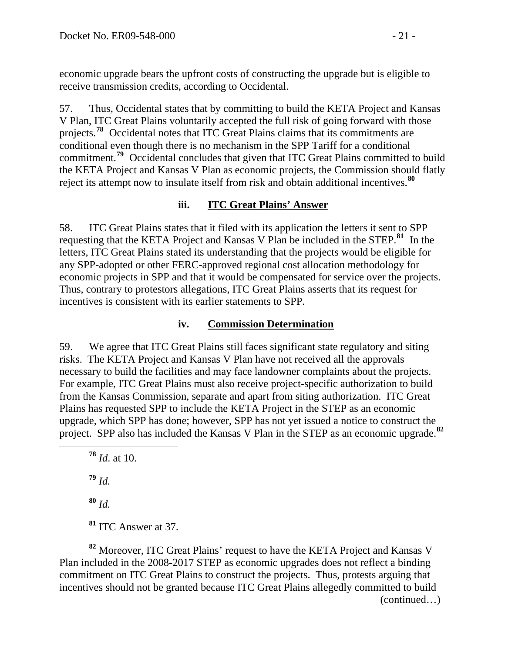economic upgrade bears the upfront costs of constructing the upgrade but is eligible to receive transmission credits, according to Occidental.

57. Thus, Occidental states that by committing to build the KETA Project and Kansas V Plan, ITC Great Plains voluntarily accepted the full risk of going forward with those projects.**[78](#page-20-0)** Occidental notes that ITC Great Plains claims that its commitments are conditional even though there is no mechanism in the SPP Tariff for a conditional commitment.<sup>[79](#page-20-1)</sup> Occidental concludes that given that ITC Great Plains committed to build the KETA Project and Kansas V Plan as economic projects, the Commission should flatly reject its attempt now to insulate itself from risk and obtain additional incentives.**[80](#page-20-2)**

#### **iii. ITC Great Plains' Answer**

58. ITC Great Plains states that it filed with its application the letters it sent to SPP requesting that the KETA Project and Kansas V Plan be included in the STEP.**[81](#page-20-3)** In the letters, ITC Great Plains stated its understanding that the projects would be eligible for any SPP-adopted or other FERC-approved regional cost allocation methodology for economic projects in SPP and that it would be compensated for service over the projects. Thus, contrary to protestors allegations, ITC Great Plains asserts that its request for incentives is consistent with its earlier statements to SPP.

#### **iv. Commission Determination**

59. We agree that ITC Great Plains still faces significant state regulatory and siting risks. The KETA Project and Kansas V Plan have not received all the approvals necessary to build the facilities and may face landowner complaints about the projects. For example, ITC Great Plains must also receive project-specific authorization to build from the Kansas Commission, separate and apart from siting authorization. ITC Great Plains has requested SPP to include the KETA Project in the STEP as an economic upgrade, which SPP has done; however, SPP has not yet issued a notice to construct the project.SPP also has included the Kansas V Plan in the STEP as an economic upgrade.**[82](#page-20-4)**

- **<sup>78</sup>** *Id*. at 10.
- **<sup>79</sup>** *Id.*

<span id="page-20-1"></span><span id="page-20-0"></span> $\overline{a}$ 

- **<sup>80</sup>** *Id.*
- **<sup>81</sup>** ITC Answer at 37.

<span id="page-20-4"></span><span id="page-20-3"></span><span id="page-20-2"></span> (continued…) **<sup>82</sup>** Moreover, ITC Great Plains' request to have the KETA Project and Kansas V Plan included in the 2008-2017 STEP as economic upgrades does not reflect a binding commitment on ITC Great Plains to construct the projects. Thus, protests arguing that incentives should not be granted because ITC Great Plains allegedly committed to build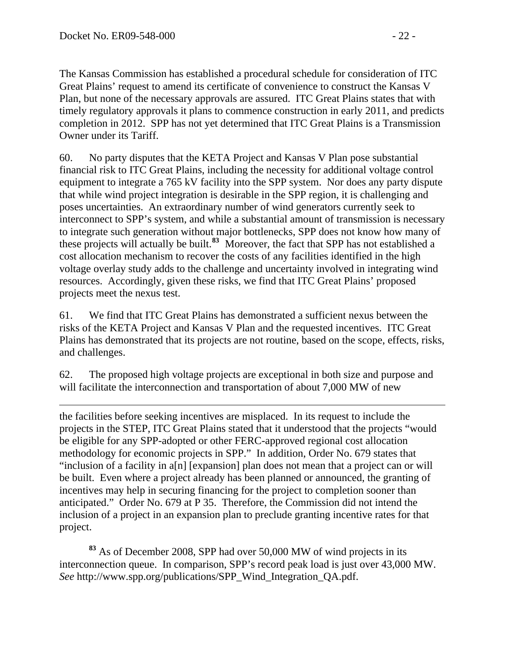The Kansas Commission has established a procedural schedule for consideration of ITC Great Plains' request to amend its certificate of convenience to construct the Kansas V Plan, but none of the necessary approvals are assured. ITC Great Plains states that with timely regulatory approvals it plans to commence construction in early 2011, and predicts completion in 2012. SPP has not yet determined that ITC Great Plains is a Transmission Owner under its Tariff.

60. No party disputes that the KETA Project and Kansas V Plan pose substantial financial risk to ITC Great Plains, including the necessity for additional voltage control equipment to integrate a 765 kV facility into the SPP system. Nor does any party dispute that while wind project integration is desirable in the SPP region, it is challenging and poses uncertainties. An extraordinary number of wind generators currently seek to interconnect to SPP's system, and while a substantial amount of transmission is necessary to integrate such generation without major bottlenecks, SPP does not know how many of these projects will actually be built.**[83](#page-21-0)** Moreover, the fact that SPP has not established a cost allocation mechanism to recover the costs of any facilities identified in the high voltage overlay study adds to the challenge and uncertainty involved in integrating wind resources. Accordingly, given these risks, we find that ITC Great Plains' proposed projects meet the nexus test.

61. We find that ITC Great Plains has demonstrated a sufficient nexus between the risks of the KETA Project and Kansas V Plan and the requested incentives. ITC Great Plains has demonstrated that its projects are not routine, based on the scope, effects, risks, and challenges.

62. The proposed high voltage projects are exceptional in both size and purpose and will facilitate the interconnection and transportation of about 7,000 MW of new

 $\overline{a}$ the facilities before seeking incentives are misplaced. In its request to include the projects in the STEP, ITC Great Plains stated that it understood that the projects "would be eligible for any SPP-adopted or other FERC-approved regional cost allocation methodology for economic projects in SPP." In addition, Order No. 679 states that "inclusion of a facility in a[n] [expansion] plan does not mean that a project can or will be built. Even where a project already has been planned or announced, the granting of incentives may help in securing financing for the project to completion sooner than anticipated." Order No. 679 at P 35. Therefore, the Commission did not intend the inclusion of a project in an expansion plan to preclude granting incentive rates for that project.

<span id="page-21-0"></span>**<sup>83</sup>** As of December 2008, SPP had over 50,000 MW of wind projects in its interconnection queue. In comparison, SPP's record peak load is just over 43,000 MW. *See* http://www.spp.org/publications/SPP\_Wind\_Integration\_QA.pdf.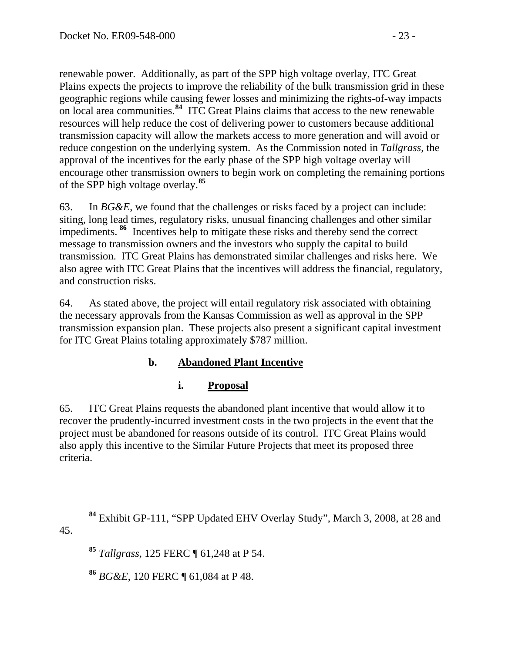renewable power. Additionally, as part of the SPP high voltage overlay, ITC Great Plains expects the projects to improve the reliability of the bulk transmission grid in these geographic regions while causing fewer losses and minimizing the rights-of-way impacts on local area communities.**<sup>84</sup>** ITC Great Plains claims that access to the new renewable resources will help reduce the cost of delivering power to customers because additional transmission capacity will allow the markets access to more generation and will avoid or reduce congestion on the underlying system. As the Commission noted in *Tallgrass*, the approval of the incentives for the early phase of the SPP high voltage overlay will encourage other transmission owners to begin work on completing the remaining portions of the SPP high voltage overlay.**<sup>85</sup>**

63. In *BG&E*, we found that the challenges or risks faced by a project can include: siting, long lead times, regulatory risks, unusual financing challenges and other similar impediments. **[86](#page-22-0)** Incentives help to mitigate these risks and thereby send the correct message to transmission owners and the investors who supply the capital to build transmission. ITC Great Plains has demonstrated similar challenges and risks here. We also agree with ITC Great Plains that the incentives will address the financial, regulatory, and construction risks.

64. As stated above, the project will entail regulatory risk associated with obtaining the necessary approvals from the Kansas Commission as well as approval in the SPP transmission expansion plan. These projects also present a significant capital investment for ITC Great Plains totaling approximately \$787 million.

## **b. Abandoned Plant Incentive**

# **i. Proposal**

65. ITC Great Plains requests the abandoned plant incentive that would allow it to recover the prudently-incurred investment costs in the two projects in the event that the project must be abandoned for reasons outside of its control. ITC Great Plains would also apply this incentive to the Similar Future Projects that meet its proposed three criteria.

**<sup>85</sup>** *Tallgrass*, 125 FERC ¶ 61,248 at P 54.

**<sup>86</sup>** *BG&E*, 120 FERC ¶ 61,084 at P 48.

<span id="page-22-0"></span>**<sup>84</sup>** Exhibit GP-111, "SPP Updated EHV Overlay Study", March 3, 2008, at 28 and 45.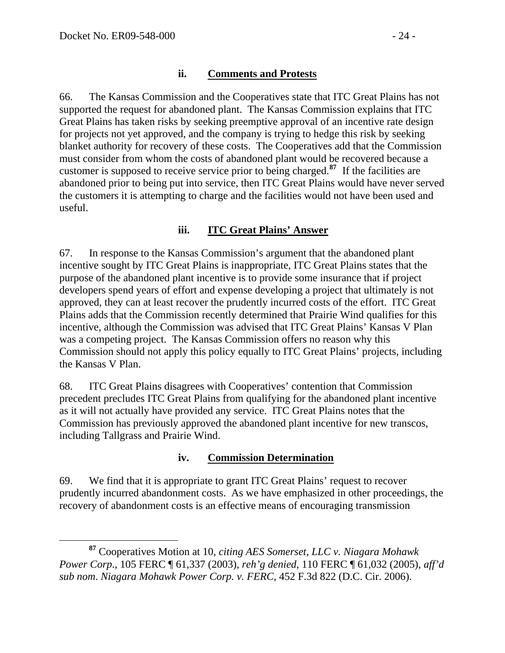#### **ii. Comments and Protests**

66. The Kansas Commission and the Cooperatives state that ITC Great Plains has not supported the request for abandoned plant. The Kansas Commission explains that ITC Great Plains has taken risks by seeking preemptive approval of an incentive rate design for projects not yet approved, and the company is trying to hedge this risk by seeking blanket authority for recovery of these costs. The Cooperatives add that the Commission must consider from whom the costs of abandoned plant would be recovered because a customer is supposed to receive service prior to being charged.**[87](#page-23-0)** If the facilities are abandoned prior to being put into service, then ITC Great Plains would have never served the customers it is attempting to charge and the facilities would not have been used and useful.

#### **iii. ITC Great Plains' Answer**

67. In response to the Kansas Commission's argument that the abandoned plant incentive sought by ITC Great Plains is inappropriate, ITC Great Plains states that the purpose of the abandoned plant incentive is to provide some insurance that if project developers spend years of effort and expense developing a project that ultimately is not approved, they can at least recover the prudently incurred costs of the effort. ITC Great Plains adds that the Commission recently determined that Prairie Wind qualifies for this incentive, although the Commission was advised that ITC Great Plains' Kansas V Plan was a competing project. The Kansas Commission offers no reason why this Commission should not apply this policy equally to ITC Great Plains' projects, including the Kansas V Plan.

68. ITC Great Plains disagrees with Cooperatives' contention that Commission precedent precludes ITC Great Plains from qualifying for the abandoned plant incentive as it will not actually have provided any service. ITC Great Plains notes that the Commission has previously approved the abandoned plant incentive for new transcos, including Tallgrass and Prairie Wind.

#### **iv. Commission Determination**

69. We find that it is appropriate to grant ITC Great Plains' request to recover prudently incurred abandonment costs. As we have emphasized in other proceedings, the recovery of abandonment costs is an effective means of encouraging transmission

<span id="page-23-0"></span>**<sup>87</sup>** Cooperatives Motion at 10, *citing AES Somerset, LLC v. Niagara Mohawk Power Corp*., 105 FERC ¶ 61,337 (2003), *reh'g denied*, 110 FERC ¶ 61,032 (2005), *aff'd sub nom*. *Niagara Mohawk Power Corp. v. FERC*, 452 F.3d 822 (D.C. Cir. 2006).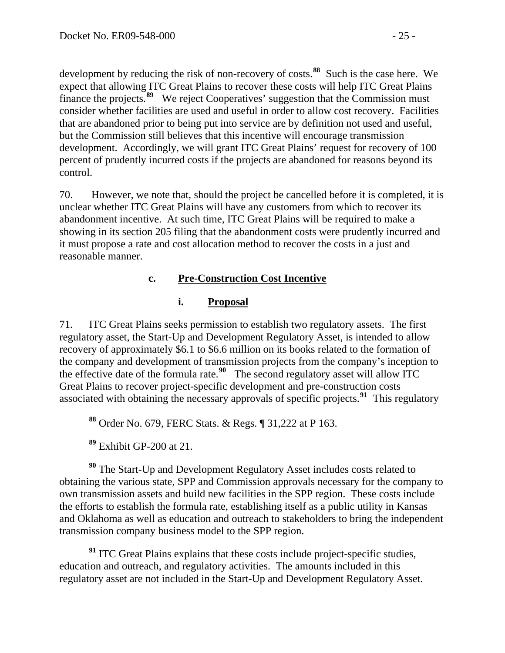development by reducing the risk of non-recovery of costs.<sup>88</sup> Such is the case here. We expect that allowing ITC Great Plains to recover these costs will help ITC Great Plains finance the projects.<sup>89</sup> We reject Cooperatives' suggestion that the Commission must consider whether facilities are used and useful in order to allow cost recovery. Facilities that are abandoned prior to being put into service are by definition not used and useful, but the Commission still believes that this incentive will encourage transmission development. Accordingly, we will grant ITC Great Plains' request for recovery of 100 percent of prudently incurred costs if the projects are abandoned for reasons beyond its control.

70. However, we note that, should the project be cancelled before it is completed, it is unclear whether ITC Great Plains will have any customers from which to recover its abandonment incentive. At such time, ITC Great Plains will be required to make a showing in its section 205 filing that the abandonment costs were prudently incurred and it must propose a rate and cost allocation method to recover the costs in a just and reasonable manner.

#### **c. Pre-Construction Cost Incentive**

#### **i. Proposal**

71. ITC Great Plains seeks permission to establish two regulatory assets. The first regulatory asset, the Start-Up and Development Regulatory Asset, is intended to allow recovery of approximately \$6.1 to \$6.6 million on its books related to the formation of the company and development of transmission projects from the company's inception to the effective date of the formula rate.**[90](#page-24-0)** The second regulatory asset will allow ITC Great Plains to recover project-specific development and pre-construction costs associated with obtaining the necessary approvals of specific projects.**[91](#page-24-1)** This regulatory

**<sup>88</sup>** Order No. 679, FERC Stats. & Regs. ¶ 31,222 at P 163.

**<sup>89</sup>** Exhibit GP-200 at 21.

<span id="page-24-0"></span>**<sup>90</sup>** The Start-Up and Development Regulatory Asset includes costs related to obtaining the various state, SPP and Commission approvals necessary for the company to own transmission assets and build new facilities in the SPP region. These costs include the efforts to establish the formula rate, establishing itself as a public utility in Kansas and Oklahoma as well as education and outreach to stakeholders to bring the independent transmission company business model to the SPP region.

<span id="page-24-1"></span><sup>91</sup> ITC Great Plains explains that these costs include project-specific studies, education and outreach, and regulatory activities. The amounts included in this regulatory asset are not included in the Start-Up and Development Regulatory Asset.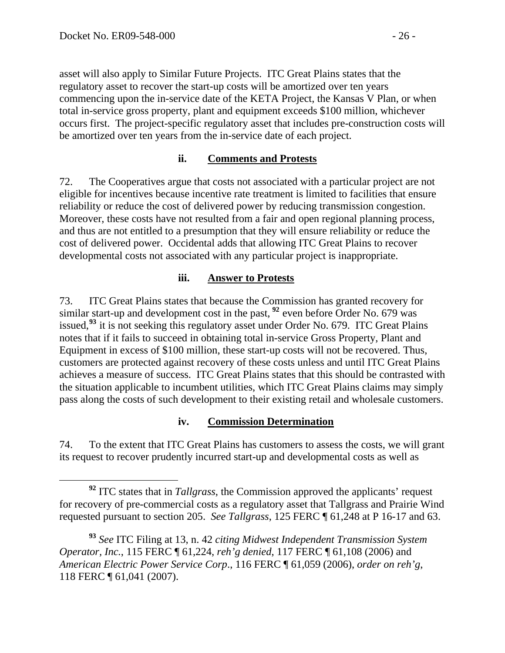asset will also apply to Similar Future Projects. ITC Great Plains states that the regulatory asset to recover the start-up costs will be amortized over ten years commencing upon the in-service date of the KETA Project, the Kansas V Plan, or when total in-service gross property, plant and equipment exceeds \$100 million, whichever occurs first. The project-specific regulatory asset that includes pre-construction costs will be amortized over ten years from the in-service date of each project.

#### **ii. Comments and Protests**

72. The Cooperatives argue that costs not associated with a particular project are not eligible for incentives because incentive rate treatment is limited to facilities that ensure reliability or reduce the cost of delivered power by reducing transmission congestion. Moreover, these costs have not resulted from a fair and open regional planning process, and thus are not entitled to a presumption that they will ensure reliability or reduce the cost of delivered power. Occidental adds that allowing ITC Great Plains to recover developmental costs not associated with any particular project is inappropriate.

#### **iii. Answer to Protests**

73. ITC Great Plains states that because the Commission has granted recovery for similar start-up and development cost in the past, **[92](#page-25-0)** even before Order No. 679 was issued,**[93](#page-25-1)** it is not seeking this regulatory asset under Order No. 679. ITC Great Plains notes that if it fails to succeed in obtaining total in-service Gross Property, Plant and Equipment in excess of \$100 million, these start-up costs will not be recovered. Thus, customers are protected against recovery of these costs unless and until ITC Great Plains achieves a measure of success. ITC Great Plains states that this should be contrasted with the situation applicable to incumbent utilities, which ITC Great Plains claims may simply pass along the costs of such development to their existing retail and wholesale customers.

#### **iv. Commission Determination**

74. To the extent that ITC Great Plains has customers to assess the costs, we will grant its request to recover prudently incurred start-up and developmental costs as well as

<span id="page-25-0"></span>**<sup>92</sup>** ITC states that in *Tallgrass*, the Commission approved the applicants' request for recovery of pre-commercial costs as a regulatory asset that Tallgrass and Prairie Wind requested pursuant to section 205. *See Tallgrass*, 125 FERC ¶ 61,248 at P 16-17 and 63.

<span id="page-25-1"></span>**<sup>93</sup>** *See* ITC Filing at 13, n. 42 *citing Midwest Independent Transmission System Operator, Inc.*, 115 FERC ¶ 61,224, *reh'g denied*, 117 FERC ¶ 61,108 (2006) and *American Electric Power Service Corp*., 116 FERC ¶ 61,059 (2006), *order on reh'g*, 118 FERC ¶ 61,041 (2007).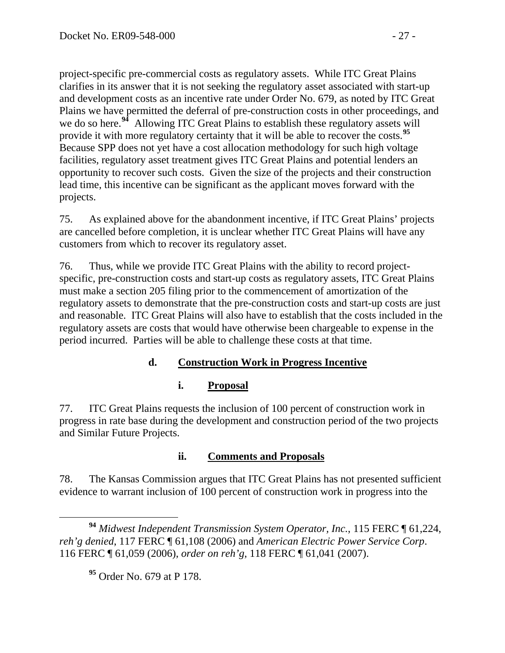project-specific pre-commercial costs as regulatory assets. While ITC Great Plains clarifies in its answer that it is not seeking the regulatory asset associated with start-up and development costs as an incentive rate under Order No. 679, as noted by ITC Great Plains we have permitted the deferral of pre-construction costs in other proceedings, and we do so here.<sup>94</sup> Allowing ITC Great Plains to establish these regulatory assets will provide it with more regulatory certainty that it will be able to recover the costs.**<sup>95</sup>** Because SPP does not yet have a cost allocation methodology for such high voltage facilities, regulatory asset treatment gives ITC Great Plains and potential lenders an opportunity to recover such costs. Given the size of the projects and their construction lead time, this incentive can be significant as the applicant moves forward with the projects.

75. As explained above for the abandonment incentive, if ITC Great Plains' projects are cancelled before completion, it is unclear whether ITC Great Plains will have any customers from which to recover its regulatory asset.

76. Thus, while we provide ITC Great Plains with the ability to record projectspecific, pre-construction costs and start-up costs as regulatory assets, ITC Great Plains must make a section 205 filing prior to the commencement of amortization of the regulatory assets to demonstrate that the pre-construction costs and start-up costs are just and reasonable. ITC Great Plains will also have to establish that the costs included in the regulatory assets are costs that would have otherwise been chargeable to expense in the period incurred. Parties will be able to challenge these costs at that time.

## **d. Construction Work in Progress Incentive**

## **i. Proposal**

77. ITC Great Plains requests the inclusion of 100 percent of construction work in progress in rate base during the development and construction period of the two projects and Similar Future Projects.

## **ii. Comments and Proposals**

78. The Kansas Commission argues that ITC Great Plains has not presented sufficient evidence to warrant inclusion of 100 percent of construction work in progress into the

**<sup>94</sup>** *Midwest Independent Transmission System Operator, Inc.*, 115 FERC ¶ 61,224, *reh'g denied*, 117 FERC ¶ 61,108 (2006) and *American Electric Power Service Corp*. 116 FERC ¶ 61,059 (2006), *order on reh'g*, 118 FERC ¶ 61,041 (2007).

**<sup>95</sup>** Order No. 679 at P 178.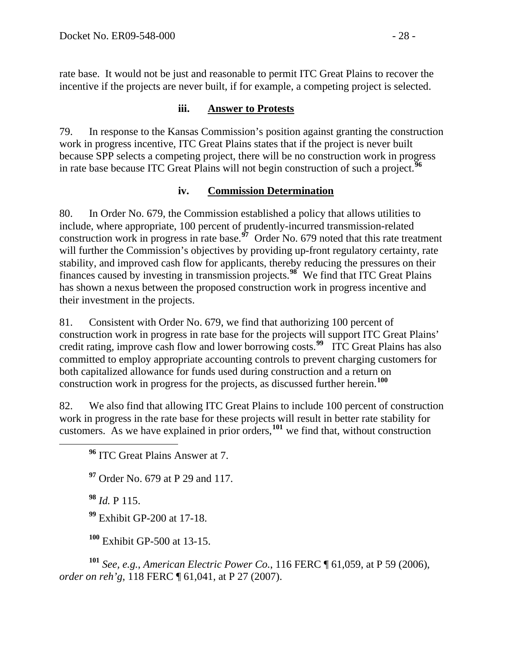rate base. It would not be just and reasonable to permit ITC Great Plains to recover the incentive if the projects are never built, if for example, a competing project is selected.

#### **iii. Answer to Protests**

79. In response to the Kansas Commission's position against granting the construction work in progress incentive, ITC Great Plains states that if the project is never built because SPP selects a competing project, there will be no construction work in progress in rate base because ITC Great Plains will not begin construction of such a project.**[96](#page-27-0)**

#### **iv. Commission Determination**

80. In Order No. 679, the Commission established a policy that allows utilities to include, where appropriate, 100 percent of prudently-incurred transmission-related construction work in progress in rate base.**[97](#page-27-1)** Order No. 679 noted that this rate treatment will further the Commission's objectives by providing up-front regulatory certainty, rate stability, and improved cash flow for applicants, thereby reducing the pressures on their finances caused by investing in transmission projects.**[98](#page-27-2)** We find that ITC Great Plains has shown a nexus between the proposed construction work in progress incentive and their investment in the projects.

81. Consistent with Order No. 679, we find that authorizing 100 percent of construction work in progress in rate base for the projects will support ITC Great Plains' credit rating, improve cash flow and lower borrowing costs.**[99](#page-27-3)** ITC Great Plains has also committed to employ appropriate accounting controls to prevent charging customers for both capitalized allowance for funds used during construction and a return on construction work in progress for the projects, as discussed further herein.**[100](#page-27-4)**

<span id="page-27-0"></span>82. We also find that allowing ITC Great Plains to include 100 percent of construction work in progress in the rate base for these projects will result in better rate stability for customers. As we have explained in prior orders,**[101](#page-27-5)** we find that, without construction

<span id="page-27-1"></span>**<sup>97</sup>** Order No. 679 at P 29 and 117.

**<sup>98</sup>** *Id.* P 115.

**<sup>99</sup>** Exhibit GP-200 at 17-18.

**<sup>100</sup>** Exhibit GP-500 at 13-15.

<span id="page-27-5"></span><span id="page-27-4"></span><span id="page-27-3"></span><span id="page-27-2"></span>**<sup>101</sup>** *See, e.g.*, *American Electric Power Co.*, 116 FERC ¶ 61,059, at P 59 (2006), *order on reh'g*, 118 FERC ¶ 61,041, at P 27 (2007).

**<sup>96</sup>** ITC Great Plains Answer at 7.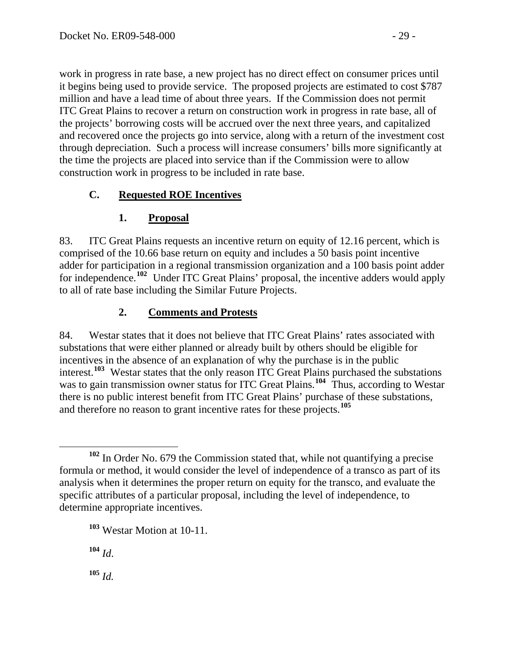work in progress in rate base, a new project has no direct effect on consumer prices until it begins being used to provide service. The proposed projects are estimated to cost \$787 million and have a lead time of about three years. If the Commission does not permit ITC Great Plains to recover a return on construction work in progress in rate base, all of the projects' borrowing costs will be accrued over the next three years, and capitalized and recovered once the projects go into service, along with a return of the investment cost through depreciation. Such a process will increase consumers' bills more significantly at the time the projects are placed into service than if the Commission were to allow construction work in progress to be included in rate base.

# **C. Requested ROE Incentives**

# **1. Proposal**

83. ITC Great Plains requests an incentive return on equity of 12.16 percent, which is comprised of the 10.66 base return on equity and includes a 50 basis point incentive adder for participation in a regional transmission organization and a 100 basis point adder for independence.**[102](#page-28-0)** Under ITC Great Plains' proposal, the incentive adders would apply to all of rate base including the Similar Future Projects.

# **2. Comments and Protests**

84. Westar states that it does not believe that ITC Great Plains' rates associated with substations that were either planned or already built by others should be eligible for incentives in the absence of an explanation of why the purchase is in the public interest.**[103](#page-28-1)** Westar states that the only reason ITC Great Plains purchased the substations was to gain transmission owner status for ITC Great Plains.<sup>[104](#page-28-2)</sup> Thus, according to Westar there is no public interest benefit from ITC Great Plains' purchase of these substations, and therefore no reason to grant incentive rates for these projects.**[105](#page-28-3)**

<span id="page-28-1"></span>**<sup>103</sup>** Westar Motion at 10-11.

<span id="page-28-2"></span>**<sup>104</sup>** *Id*.

<span id="page-28-3"></span>**<sup>105</sup>** *Id.*

<span id="page-28-0"></span>**<sup>102</sup>** In Order No. 679 the Commission stated that, while not quantifying a precise formula or method, it would consider the level of independence of a transco as part of its analysis when it determines the proper return on equity for the transco, and evaluate the specific attributes of a particular proposal, including the level of independence, to determine appropriate incentives.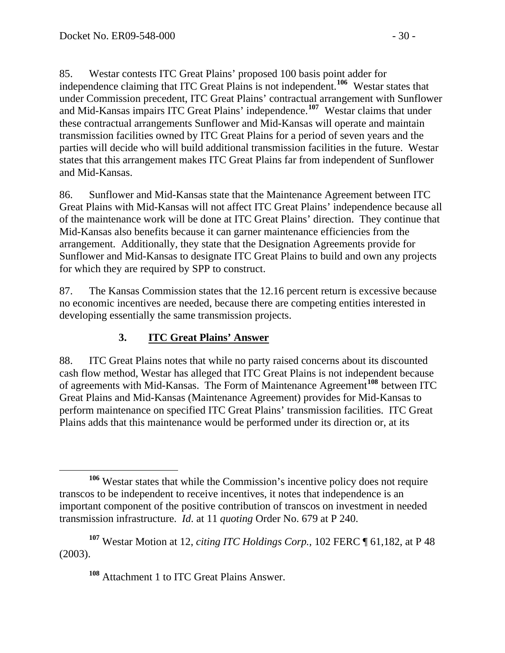85. Westar contests ITC Great Plains' proposed 100 basis point adder for independence claiming that ITC Great Plains is not independent.**[106](#page-29-0)** Westar states that under Commission precedent, ITC Great Plains' contractual arrangement with Sunflower and Mid-Kansas impairs ITC Great Plains' independence.**[107](#page-29-1)** Westar claims that under these contractual arrangements Sunflower and Mid-Kansas will operate and maintain transmission facilities owned by ITC Great Plains for a period of seven years and the parties will decide who will build additional transmission facilities in the future. Westar states that this arrangement makes ITC Great Plains far from independent of Sunflower and Mid-Kansas.

86. Sunflower and Mid-Kansas state that the Maintenance Agreement between ITC Great Plains with Mid-Kansas will not affect ITC Great Plains' independence because all of the maintenance work will be done at ITC Great Plains' direction. They continue that Mid-Kansas also benefits because it can garner maintenance efficiencies from the arrangement. Additionally, they state that the Designation Agreements provide for Sunflower and Mid-Kansas to designate ITC Great Plains to build and own any projects for which they are required by SPP to construct.

87. The Kansas Commission states that the 12.16 percent return is excessive because no economic incentives are needed, because there are competing entities interested in developing essentially the same transmission projects.

## **3. ITC Great Plains' Answer**

88. ITC Great Plains notes that while no party raised concerns about its discounted cash flow method, Westar has alleged that ITC Great Plains is not independent because of agreements with Mid-Kansas. The Form of Maintenance Agreement**[108](#page-29-2)** between ITC Great Plains and Mid-Kansas (Maintenance Agreement) provides for Mid-Kansas to perform maintenance on specified ITC Great Plains' transmission facilities. ITC Great Plains adds that this maintenance would be performed under its direction or, at its

<span id="page-29-0"></span>**<sup>106</sup>** Westar states that while the Commission's incentive policy does not require transcos to be independent to receive incentives, it notes that independence is an important component of the positive contribution of transcos on investment in needed transmission infrastructure. *Id*. at 11 *quoting* Order No. 679 at P 240.

<span id="page-29-2"></span><span id="page-29-1"></span>**<sup>107</sup>** Westar Motion at 12, *citing ITC Holdings Corp.,* 102 FERC ¶ 61,182, at P 48 (2003).

**<sup>108</sup>** Attachment 1 to ITC Great Plains Answer.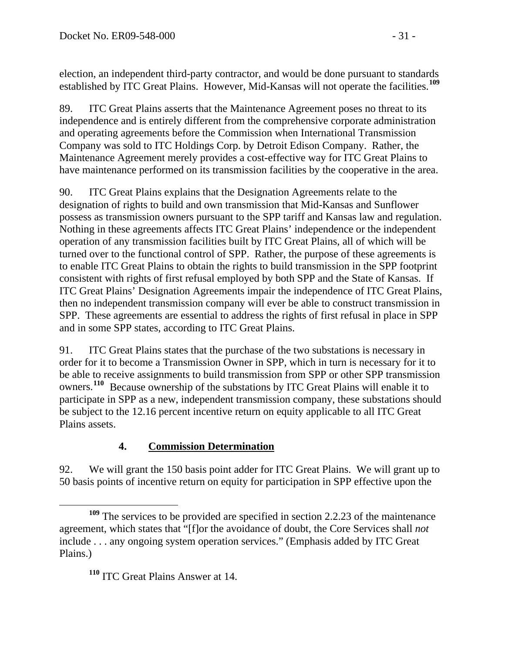election, an independent third-party contractor, and would be done pursuant to standards established by ITC Great Plains. However, Mid-Kansas will not operate the facilities.**<sup>109</sup>**

89. ITC Great Plains asserts that the Maintenance Agreement poses no threat to its independence and is entirely different from the comprehensive corporate administration and operating agreements before the Commission when International Transmission Company was sold to ITC Holdings Corp. by Detroit Edison Company. Rather, the Maintenance Agreement merely provides a cost-effective way for ITC Great Plains to have maintenance performed on its transmission facilities by the cooperative in the area.

90. ITC Great Plains explains that the Designation Agreements relate to the designation of rights to build and own transmission that Mid-Kansas and Sunflower possess as transmission owners pursuant to the SPP tariff and Kansas law and regulation. Nothing in these agreements affects ITC Great Plains' independence or the independent operation of any transmission facilities built by ITC Great Plains, all of which will be turned over to the functional control of SPP. Rather, the purpose of these agreements is to enable ITC Great Plains to obtain the rights to build transmission in the SPP footprint consistent with rights of first refusal employed by both SPP and the State of Kansas. If ITC Great Plains' Designation Agreements impair the independence of ITC Great Plains, then no independent transmission company will ever be able to construct transmission in SPP. These agreements are essential to address the rights of first refusal in place in SPP and in some SPP states, according to ITC Great Plains.

91. ITC Great Plains states that the purchase of the two substations is necessary in order for it to become a Transmission Owner in SPP, which in turn is necessary for it to be able to receive assignments to build transmission from SPP or other SPP transmission owners.**[110](#page-30-0)** Because ownership of the substations by ITC Great Plains will enable it to participate in SPP as a new, independent transmission company, these substations should be subject to the 12.16 percent incentive return on equity applicable to all ITC Great Plains assets.

# **4. Commission Determination**

92. We will grant the 150 basis point adder for ITC Great Plains. We will grant up to 50 basis points of incentive return on equity for participation in SPP effective upon the

<span id="page-30-0"></span>**<sup>109</sup>** The services to be provided are specified in section 2.2.23 of the maintenance agreement, which states that "[f]or the avoidance of doubt, the Core Services shall *not*  include . . . any ongoing system operation services." (Emphasis added by ITC Great Plains.)

**<sup>110</sup>** ITC Great Plains Answer at 14.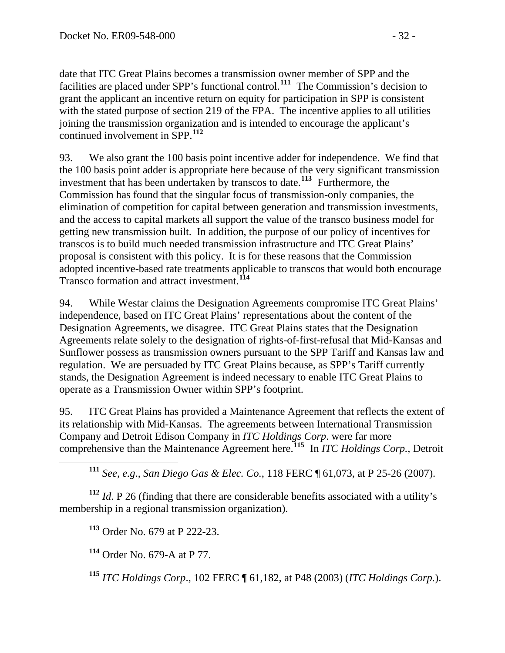date that ITC Great Plains becomes a transmission owner member of SPP and the facilities are placed under SPP's functional control.**<sup>111</sup>** The Commission's decision to grant the applicant an incentive return on equity for participation in SPP is consistent with the stated purpose of section 219 of the FPA. The incentive applies to all utilities joining the transmission organization and is intended to encourage the applicant's continued involvement in SPP.**<sup>112</sup>**

93. We also grant the 100 basis point incentive adder for independence. We find that the 100 basis point adder is appropriate here because of the very significant transmission investment that has been undertaken by transcos to date.**[113](#page-31-0)** Furthermore, the Commission has found that the singular focus of transmission-only companies, the elimination of competition for capital between generation and transmission investments, and the access to capital markets all support the value of the transco business model for getting new transmission built. In addition, the purpose of our policy of incentives for transcos is to build much needed transmission infrastructure and ITC Great Plains' proposal is consistent with this policy. It is for these reasons that the Commission adopted incentive-based rate treatments applicable to transcos that would both encourage Transco formation and attract investment.**[114](#page-31-1)**

94. While Westar claims the Designation Agreements compromise ITC Great Plains' independence, based on ITC Great Plains' representations about the content of the Designation Agreements, we disagree. ITC Great Plains states that the Designation Agreements relate solely to the designation of rights-of-first-refusal that Mid-Kansas and Sunflower possess as transmission owners pursuant to the SPP Tariff and Kansas law and regulation. We are persuaded by ITC Great Plains because, as SPP's Tariff currently stands, the Designation Agreement is indeed necessary to enable ITC Great Plains to operate as a Transmission Owner within SPP's footprint.

95. ITC Great Plains has provided a Maintenance Agreement that reflects the extent of its relationship with Mid-Kansas. The agreements between International Transmission Company and Detroit Edison Company in *ITC Holdings Corp*. were far more comprehensive than the Maintenance Agreement here.**[115](#page-31-2)** In *ITC Holdings Corp.,* Detroit

**<sup>111</sup>** *See, e.g*., *San Diego Gas & Elec. Co.*, 118 FERC ¶ 61,073, at P 25-26 (2007).

<span id="page-31-1"></span><span id="page-31-0"></span>**<sup>112</sup>** *Id*. P 26 (finding that there are considerable benefits associated with a utility's membership in a regional transmission organization).

**<sup>113</sup>** Order No. 679 at P 222-23.

**<sup>114</sup>** Order No. 679-A at P 77.

<span id="page-31-2"></span>**<sup>115</sup>** *ITC Holdings Corp*., 102 FERC ¶ 61,182, at P48 (2003) (*ITC Holdings Corp.*).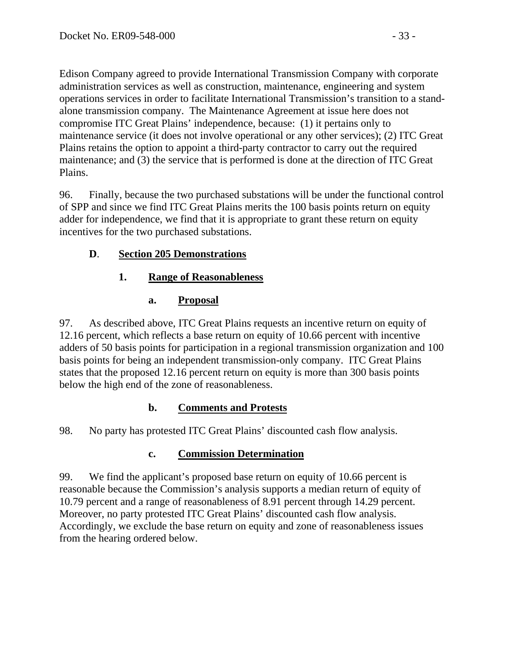Edison Company agreed to provide International Transmission Company with corporate administration services as well as construction, maintenance, engineering and system operations services in order to facilitate International Transmission's transition to a standalone transmission company. The Maintenance Agreement at issue here does not compromise ITC Great Plains' independence, because: (1) it pertains only to maintenance service (it does not involve operational or any other services); (2) ITC Great Plains retains the option to appoint a third-party contractor to carry out the required maintenance; and (3) the service that is performed is done at the direction of ITC Great Plains.

96. Finally, because the two purchased substations will be under the functional control of SPP and since we find ITC Great Plains merits the 100 basis points return on equity adder for independence, we find that it is appropriate to grant these return on equity incentives for the two purchased substations.

# **D**. **Section 205 Demonstrations**

# **1. Range of Reasonableness**

## **a. Proposal**

97. As described above, ITC Great Plains requests an incentive return on equity of 12.16 percent, which reflects a base return on equity of 10.66 percent with incentive adders of 50 basis points for participation in a regional transmission organization and 100 basis points for being an independent transmission-only company. ITC Great Plains states that the proposed 12.16 percent return on equity is more than 300 basis points below the high end of the zone of reasonableness.

# **b. Comments and Protests**

98. No party has protested ITC Great Plains' discounted cash flow analysis.

# **c. Commission Determination**

99. We find the applicant's proposed base return on equity of 10.66 percent is reasonable because the Commission's analysis supports a median return of equity of 10.79 percent and a range of reasonableness of 8.91 percent through 14.29 percent. Moreover, no party protested ITC Great Plains' discounted cash flow analysis. Accordingly, we exclude the base return on equity and zone of reasonableness issues from the hearing ordered below.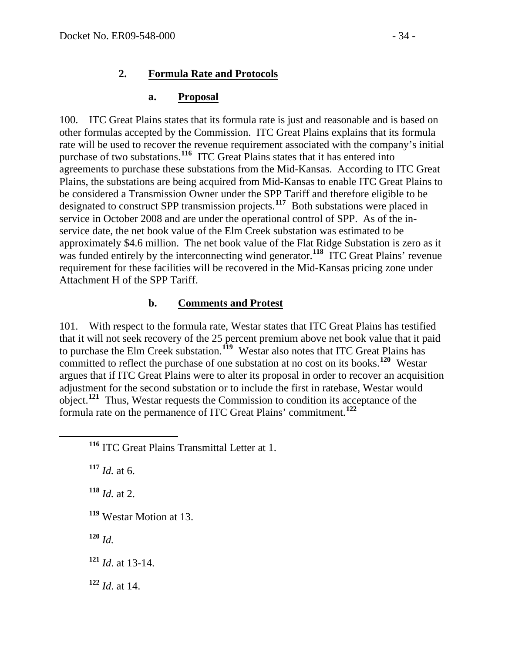## **2. Formula Rate and Protocols**

#### **a. Proposal**

100. ITC Great Plains states that its formula rate is just and reasonable and is based on other formulas accepted by the Commission. ITC Great Plains explains that its formula rate will be used to recover the revenue requirement associated with the company's initial purchase of two substations.**[116](#page-33-0)** ITC Great Plains states that it has entered into agreements to purchase these substations from the Mid-Kansas. According to ITC Great Plains, the substations are being acquired from Mid-Kansas to enable ITC Great Pl ains to be considered a Transmission Owner under the SPP Tariff and therefore eligible to b e designated to construct SPP transmission projects.<sup>[117](#page-33-1)</sup> Both substations were placed in service in October 2008 and are under the operational control of SPP. As of the inservice date, the net book value of the Elm Creek substation was estimated to be approximately \$4.6 million. The net book value of the Flat Ridge Substation is zero as it was funded entirely by the interconnecting wind generator.<sup>[118](#page-33-2)</sup> ITC Great Plains' revenue requirement for these facilities will be recovered in the Mid-Kansas pricing zone under Attachment H of the SPP Tariff.

#### **b. Comments and Protest**

101. With respect to the formula rate, Westar states that ITC Great Plains has testified that it will not seek recovery of the 25 percent premium above net book value that it paid to purchase the Elm Creek substation.**[119](#page-33-3)** Westar also notes that ITC Great Plains has committed to reflect the purchase of one substation at no cost on its books.**[120](#page-33-4)** Westar argues that if ITC Great Plains were to alter its proposal in order to recover an acquisition adjustment for the second substation or to include the first in ratebase, Westar would object.**[121](#page-33-5)** Thus, Westar requests the Commission to condition its acceptance of the formula rate on the permanence of ITC Great Plains' commitment.**[122](#page-33-6)**

<span id="page-33-1"></span>**<sup>117</sup>** *Id.* at 6.

<span id="page-33-2"></span>**<sup>118</sup>** *Id.* at 2.

<span id="page-33-3"></span>**<sup>119</sup>** Westar Motion at 13.

<span id="page-33-4"></span>**<sup>120</sup>** *Id.*

<span id="page-33-5"></span>**<sup>121</sup>** *Id*. at 13-14.

<span id="page-33-6"></span>**<sup>122</sup>** *Id*. at 14.

<span id="page-33-0"></span>**<sup>116</sup>** ITC Great Plains Transmittal Letter at 1.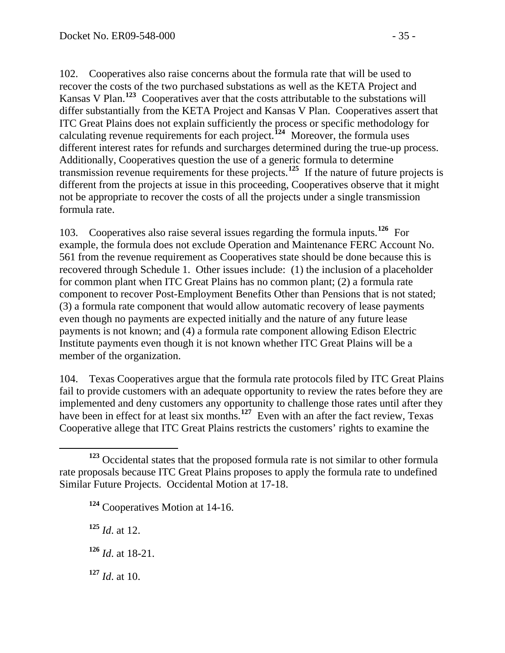102. Cooperatives also raise concerns about the formula rate that will be used to recover the costs of the two purchased substations as well as the KETA Project and Kansas V Plan.**[123](#page-34-0)** Cooperatives aver that the costs attributable to the substations will differ substantially from the KETA Project and Kansas V Plan. Cooperatives assert that ITC Great Plains does not explain sufficiently the process or specific methodology for calculating revenue requirements for each project.**[124](#page-34-1)** Moreover, the formula uses different interest rates for refunds and surcharges determined during the true-up process. Additionally, Cooperatives question the use of a generic formula to determine transmission revenue requirements for these projects.**[125](#page-34-2)** If the nature of future projects is different from the projects at issue in this proceeding, Cooperatives observe that it might not be appropriate to recover the costs of all the projects under a single transmission formula rate.

103. Cooperatives also raise several issues regarding the formula inputs.**[126](#page-34-3)** For example, the formula does not exclude Operation and Maintenance FERC Account No. 561 from the revenue requirement as Cooperatives state should be done because this is recovered through Schedule 1. Other issues include: (1) the inclusion of a placeholder for common plant when ITC Great Plains has no common plant; (2) a formula rate component to recover Post-Employment Benefits Other than Pensions that is not stated; (3) a formula rate component that would allow automatic recovery of lease payments even though no payments are expected initially and the nature of any future lease payments is not known; and (4) a formula rate component allowing Edison Electric Institute payments even though it is not known whether ITC Great Plains will be a member of the organization.

104. Texas Cooperatives argue that the formula rate protocols filed by ITC Great Plains fail to provide customers with an adequate opportunity to review the rates before they are implemented and deny customers any opportunity to challenge those rates until after they have been in effect for at least six months.<sup>[127](#page-34-4)</sup> Even with an after the fact review, Texas Cooperative allege that ITC Great Plains restricts the customers' rights to examine the

<span id="page-34-2"></span>**<sup>125</sup>** *Id*. at 12.

<span id="page-34-3"></span>**<sup>126</sup>** *Id*. at 18-21.

<span id="page-34-4"></span>**<sup>127</sup>** *Id*. at 10.

<span id="page-34-1"></span><span id="page-34-0"></span>**<sup>123</sup>** Occidental states that the proposed formula rate is not similar to other formula rate proposals because ITC Great Plains proposes to apply the formula rate to undefined Similar Future Projects. Occidental Motion at 17-18.

**<sup>124</sup>** Cooperatives Motion at 14-16.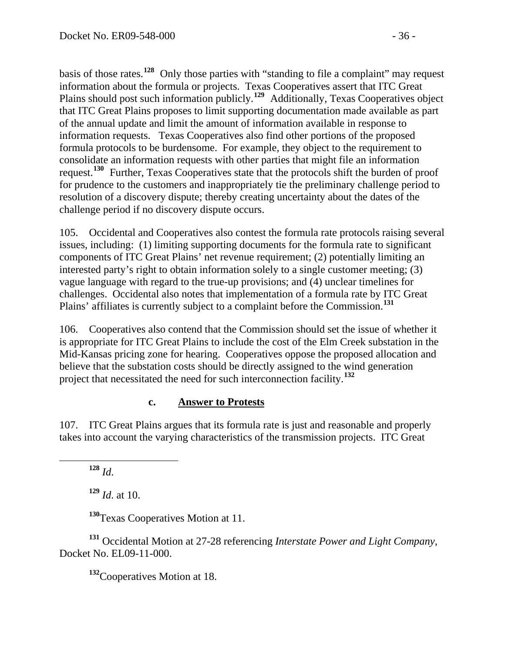basis of those rates.**<sup>128</sup>** Only those parties with "standing to file a complaint" may request information about the formula or projects. Texas Cooperatives assert that ITC Great Plains should post such information publicly.**<sup>129</sup>** Additionally, Texas Cooperatives object that ITC Great Plains proposes to limit supporting documentation made available as part of the annual update and limit the amount of information available in response to information requests. Texas Cooperatives also find other portions of the proposed formula protocols to be burdensome. For example, they object to the requirement to consolidate an information requests with other parties that might file an information request.**<sup>130</sup>** Further, Texas Cooperatives state that the protocols shift the burden of proof for prudence to the customers and inappropriately tie the preliminary challenge period to resolution of a discovery dispute; thereby creating uncertainty about the dates of the challenge period if no discovery dispute occurs.

105. Occidental and Cooperatives also contest the formula rate protocols raising several issues, including: (1) limiting supporting documents for the formula rate to significant components of ITC Great Plains' net revenue requirement; (2) potentially limiting an interested party's right to obtain information solely to a single customer meeting; (3) vague language with regard to the true-up provisions; and (4) unclear timelines for challenges. Occidental also notes that implementation of a formula rate by ITC Great Plains' affiliates is currently subject to a complaint before the Commission.**[131](#page-35-0)**

106. Cooperatives also contend that the Commission should set the issue of whether it is appropriate for ITC Great Plains to include the cost of the Elm Creek substation in the Mid-Kansas pricing zone for hearing. Cooperatives oppose the proposed allocation and believe that the substation costs should be directly assigned to the wind generation project that necessitated the need for such interconnection facility.**[132](#page-35-1)**

#### **c. Answer to Protests**

107. ITC Great Plains argues that its formula rate is just and reasonable and properly takes into account the varying characteristics of the transmission projects. ITC Great

**<sup>128</sup>** *Id*.

**<sup>129</sup>** *Id*. at 10.

**<sup>130</sup>**Texas Cooperatives Motion at 11.

<span id="page-35-1"></span><span id="page-35-0"></span>**<sup>131</sup>** Occidental Motion at 27-28 referencing *Interstate Power and Light Company*, Docket No. EL09-11-000.

**<sup>132</sup>**Cooperatives Motion at 18.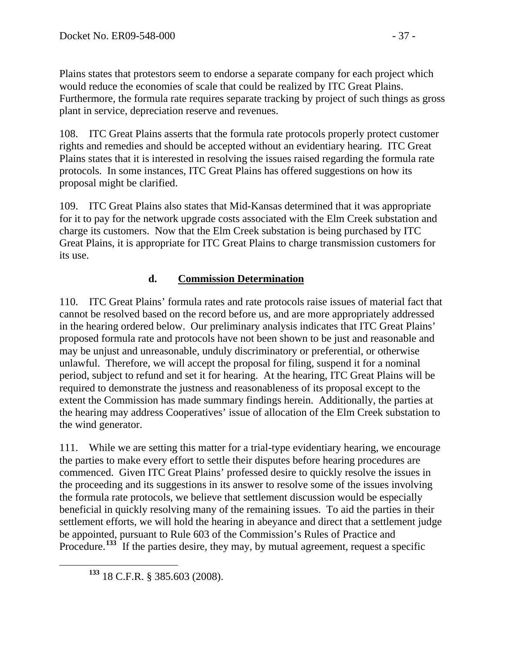Plains states that protestors seem to endorse a separate company for each project which would reduce the economies of scale that could be realized by ITC Great Plains. Furthermore, the formula rate requires separate tracking by project of such things as gross plant in service, depreciation reserve and revenues.

108. ITC Great Plains asserts that the formula rate protocols properly protect customer rights and remedies and should be accepted without an evidentiary hearing. ITC Great Plains states that it is interested in resolving the issues raised regarding the formula rate protocols. In some instances, ITC Great Plains has offered suggestions on how its proposal might be clarified.

109. ITC Great Plains also states that Mid-Kansas determined that it was appropriate for it to pay for the network upgrade costs associated with the Elm Creek substation and charge its customers. Now that the Elm Creek substation is being purchased by ITC Great Plains, it is appropriate for ITC Great Plains to charge transmission customers for its use.

# **d. Commission Determination**

110. ITC Great Plains' formula rates and rate protocols raise issues of material fact that cannot be resolved based on the record before us, and are more appropriately addressed in the hearing ordered below. Our preliminary analysis indicates that ITC Great Plains' proposed formula rate and protocols have not been shown to be just and reasonable and may be unjust and unreasonable, unduly discriminatory or preferential, or otherwise unlawful. Therefore, we will accept the proposal for filing, suspend it for a nominal period, subject to refund and set it for hearing. At the hearing, ITC Great Plains will be required to demonstrate the justness and reasonableness of its proposal except to the extent the Commission has made summary findings herein. Additionally, the parties at the hearing may address Cooperatives' issue of allocation of the Elm Creek substation to the wind generator.

111. While we are setting this matter for a trial-type evidentiary hearing, we encourage the parties to make every effort to settle their disputes before hearing procedures are commenced. Given ITC Great Plains' professed desire to quickly resolve the issues in the proceeding and its suggestions in its answer to resolve some of the issues involving the formula rate protocols, we believe that settlement discussion would be especially beneficial in quickly resolving many of the remaining issues. To aid the parties in their settlement efforts, we will hold the hearing in abeyance and direct that a settlement judge be appointed, pursuant to Rule 603 of the Commission's Rules of Practice and Procedure.<sup>[133](#page-36-0)</sup> If the parties desire, they may, by mutual agreement, request a specific

<span id="page-36-0"></span>**<sup>133</sup>** 18 C.F.R. § 385.603 (2008).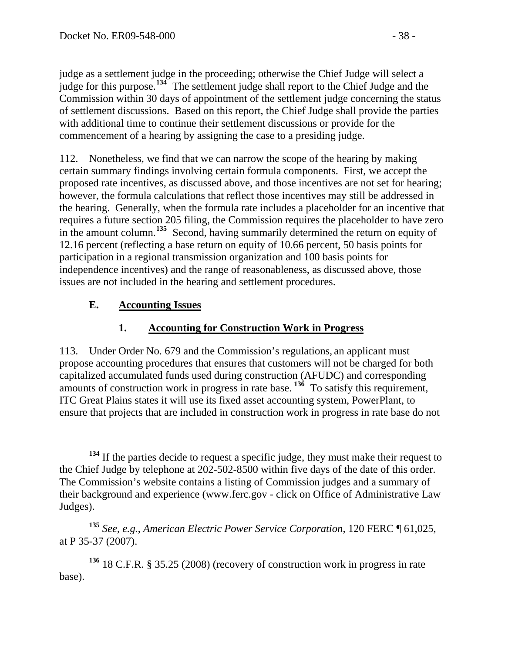judge as a settlement judge in the proceeding; otherwise the Chief Judge will select a judge for this purpose.**<sup>134</sup>** The settlement judge shall report to the Chief Judge and the Commission within 30 days of appointment of the settlement judge concerning the status of settlement discussions. Based on this report, the Chief Judge shall provide the parties with additional time to continue their settlement discussions or provide for the commencement of a hearing by assigning the case to a presiding judge.

112. Nonetheless, we find that we can narrow the scope of the hearing by making certain summary findings involving certain formula components. First, we accept the proposed rate incentives, as discussed above, and those incentives are not set for hearing; however, the formula calculations that reflect those incentives may still be addressed in the hearing. Generally, when the formula rate includes a placeholder for an incentive that requires a future section 205 filing, the Commission requires the placeholder to have zero in the amount column.**[135](#page-37-0)** Second, having summarily determined the return on equity of 12.16 percent (reflecting a base return on equity of 10.66 percent, 50 basis points for participation in a regional transmission organization and 100 basis points for independence incentives) and the range of reasonableness, as discussed above, those issues are not included in the hearing and settlement procedures.

## **E. Accounting Issues**

## **1. Accounting for Construction Work in Progress**

113. Under Order No. 679 and the Commission's regulations, an applicant must propose accounting procedures that ensures that customers will not be charged for both capitalized accumulated funds used during construction (AFUDC) and corresponding amounts of construction work in progress in rate base. **[136](#page-37-1)** To satisfy this requirement, ITC Great Plains states it will use its fixed asset accounting system, PowerPlant, to ensure that projects that are included in construction work in progress in rate base do not

**<sup>134</sup>** If the parties decide to request a specific judge, they must make their request to the Chief Judge by telephone at 202-502-8500 within five days of the date of this order. The Commission's website contains a listing of Commission judges and a summary of their background and experience (www.ferc.gov - click on Office of Administrative Law Judges).

<span id="page-37-0"></span>**<sup>135</sup>** *See*, *e.g.*, *American Electric Power Service Corporation*, 120 FERC ¶ 61,025, at P 35-37 (2007).

<span id="page-37-1"></span>**<sup>136</sup>** 18 C.F.R. § 35.25 (2008) (recovery of construction work in progress in rate base).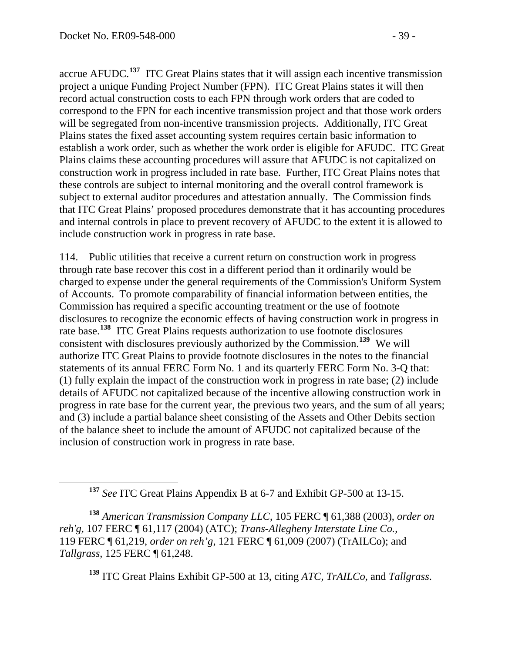accrue AFUDC.**<sup>137</sup>** ITC Great Plains states that it will assign each incentive transmission project a unique Funding Project Number (FPN). ITC Great Plains states it will then record actual construction costs to each FPN through work orders that are coded to correspond to the FPN for each incentive transmission project and that those work orders will be segregated from non-incentive transmission projects. Additionally, ITC Great Plains states the fixed asset accounting system requires certain basic information to establish a work order, such as whether the work order is eligible for AFUDC. ITC Great Plains claims these accounting procedures will assure that AFUDC is not capitalized on construction work in progress included in rate base. Further, ITC Great Plains notes that these controls are subject to internal monitoring and the overall control framework is subject to external auditor procedures and attestation annually. The Commission finds that ITC Great Plains' proposed procedures demonstrate that it has accounting procedures and internal controls in place to prevent recovery of AFUDC to the extent it is allowed to include construction work in progress in rate base.

114. Public utilities that receive a current return on construction work in progress through rate base recover this cost in a different period than it ordinarily would be charged to expense under the general requirements of the Commission's Uniform System of Accounts. To promote comparability of financial information between entities, the Commission has required a specific accounting treatment or the use of footnote disclosures to recognize the economic effects of having construction work in progress in rate base.**[138](#page-38-0)** ITC Great Plains requests authorization to use footnote disclosures consistent with disclosures previously authorized by the Commission.**[139](#page-38-1)** We will authorize ITC Great Plains to provide footnote disclosures in the notes to the financial statements of its annual FERC Form No. 1 and its quarterly FERC Form No. 3-Q that: (1) fully explain the impact of the construction work in progress in rate base; (2) include details of AFUDC not capitalized because of the incentive allowing construction work in progress in rate base for the current year, the previous two years, and the sum of all years; and (3) include a partial balance sheet consisting of the Assets and Other Debits section of the balance sheet to include the amount of AFUDC not capitalized because of the inclusion of construction work in progress in rate base.

<span id="page-38-1"></span><span id="page-38-0"></span>**<sup>138</sup>** *American Transmission Company LLC*, 105 FERC ¶ 61,388 (2003), *order on reh'g,* 107 FERC ¶ 61,117 (2004) (ATC); *Trans-Allegheny Interstate Line Co.*, 119 FERC ¶ 61,219, *order on reh'g*, 121 FERC ¶ 61,009 (2007) (TrAILCo); and *Tallgrass*, 125 FERC ¶ 61,248.

**<sup>139</sup>** ITC Great Plains Exhibit GP-500 at 13, citing *ATC*, *TrAILCo*, and *Tallgrass*.

**<sup>137</sup>** *See* ITC Great Plains Appendix B at 6-7 and Exhibit GP-500 at 13-15.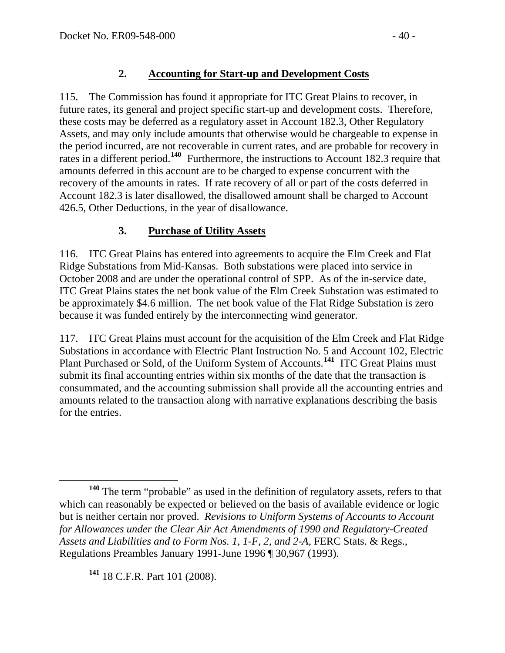115. The Commission has found it appropriate for ITC Great Plains to recover, in future rates, its general and project specific start-up and development costs. Therefore, these costs may be deferred as a regulatory asset in Account 182.3, Other Regulatory Assets, and may only include amounts that otherwise would be chargeable to expense in the period incurred, are not recoverable in current rates, and are probable for recovery in rates in a different period.<sup>[140](#page-39-0)</sup> Furthermore, the instructions to Account 182.3 require that amounts deferred in this account are to be charged to expense concurrent with the recovery of the amounts in rates. If rate recovery of all or part of the costs deferred in Account 182.3 is later disallowed, the disallowed amount shall be charged to Account 426.5, Other Deductions, in the year of disallowance.

# **3. Purchase of Utility Assets**

116. ITC Great Plains has entered into agreements to acquire the Elm Creek and Flat Ridge Substations from Mid-Kansas. Both substations were placed into service in October 2008 and are under the operational control of SPP. As of the in-service date, ITC Great Plains states the net book value of the Elm Creek Substation was estimated to be approximately \$4.6 million. The net book value of the Flat Ridge Substation is zero because it was funded entirely by the interconnecting wind generator.

117. ITC Great Plains must account for the acquisition of the Elm Creek and Flat Ridge Substations in accordance with Electric Plant Instruction No. 5 and Account 102, Electric Plant Purchased or Sold, of the Uniform System of Accounts.**[141](#page-39-1)** ITC Great Plains must submit its final accounting entries within six months of the date that the transaction is consummated, and the accounting submission shall provide all the accounting entries and amounts related to the transaction along with narrative explanations describing the basis for the entries.

<span id="page-39-1"></span>**<sup>141</sup>** 18 C.F.R. Part 101 (2008).

<span id="page-39-0"></span>**<sup>140</sup>** The term "probable" as used in the definition of regulatory assets, refers to that which can reasonably be expected or believed on the basis of available evidence or logic but is neither certain nor proved. *Revisions to Uniform Systems of Accounts to Account for Allowances under the Clear Air Act Amendments of 1990 and Regulatory-Created Assets and Liabilities and to Form Nos. 1, 1-F, 2, and 2-A*, FERC Stats. & Regs., Regulations Preambles January 1991-June 1996 [¶ 30,967](javascript:rDoDocLink() (1993).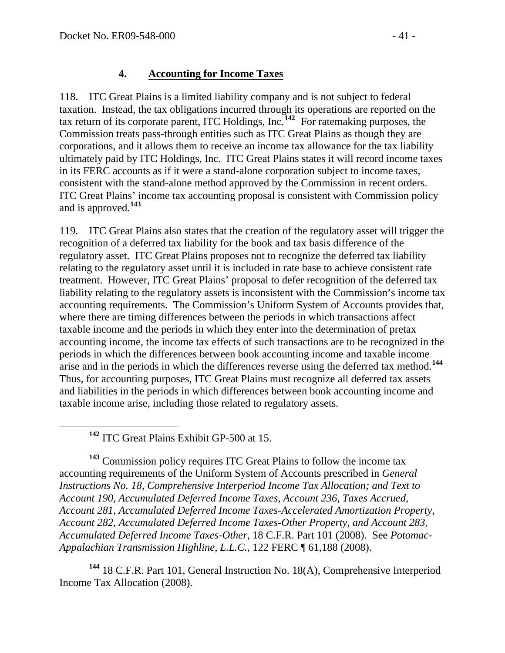#### **4. Accounting for Income Taxes**

118. ITC Great Plains is a limited liability company and is not subject to federal taxation. Instead, the tax obligations incurred through its operations are reported on the tax return of its corporate parent, ITC Holdings, Inc.**[142](#page-40-0)** For ratemaking purposes, the Commission treats pass-through entities such as ITC Great Plains as though they are corporations, and it allows them to receive an income tax allowance for the tax liability ultimately paid by ITC Holdings, Inc. ITC Great Plains states it will record income taxes in its FERC accounts as if it were a stand-alone corporation subject to income taxes, consistent with the stand-alone method approved by the Commission in recent orders. ITC Great Plains' income tax accounting proposal is consistent with Commission policy and is approved.**[143](#page-40-1)**

119. ITC Great Plains also states that the creation of the regulatory asset will trigger the recognition of a deferred tax liability for the book and tax basis difference of the regulatory asset. ITC Great Plains proposes not to recognize the deferred tax liability relating to the regulatory asset until it is included in rate base to achieve consistent rate treatment. However, ITC Great Plains' proposal to defer recognition of the deferred tax liability relating to the regulatory assets is inconsistent with the Commission's income tax accounting requirements. The Commission's Uniform System of Accounts provides that, where there are timing differences between the periods in which transactions affect taxable income and the periods in which they enter into the determination of pretax accounting income, the income tax effects of such transactions are to be recognized in the periods in which the differences between book accounting income and taxable income arise and in the periods in which the differences reverse using the deferred tax method.**[144](#page-40-2)** Thus, for accounting purposes, ITC Great Plains must recognize all deferred tax assets and liabilities in the periods in which differences between book accounting income and taxable income arise, including those related to regulatory assets.

**<sup>142</sup>** ITC Great Plains Exhibit GP-500 at 15.

<span id="page-40-1"></span><span id="page-40-0"></span>**<sup>143</sup>** Commission policy requires ITC Great Plains to follow the income tax accounting requirements of the Uniform System of Accounts prescribed in *General Instructions No. 18, Comprehensive Interperiod Income Tax Allocation; and Text to Account 190, Accumulated Deferred Income Taxes, Account 236, Taxes Accrued, Account 281, Accumulated Deferred Income Taxes-Accelerated Amortization Property, Account 282, Accumulated Deferred Income Taxes-Other Property, and Account 283, Accumulated Deferred Income Taxes-Other*, 18 C.F.R. Part 101 (2008). See *Potomac-Appalachian Transmission Highline, L.L.C.,* 122 FERC ¶ 61,188 (2008).

<span id="page-40-2"></span>**<sup>144</sup>** 18 C.F.R. Part 101, General Instruction No. 18(A), Comprehensive Interperiod Income Tax Allocation (2008).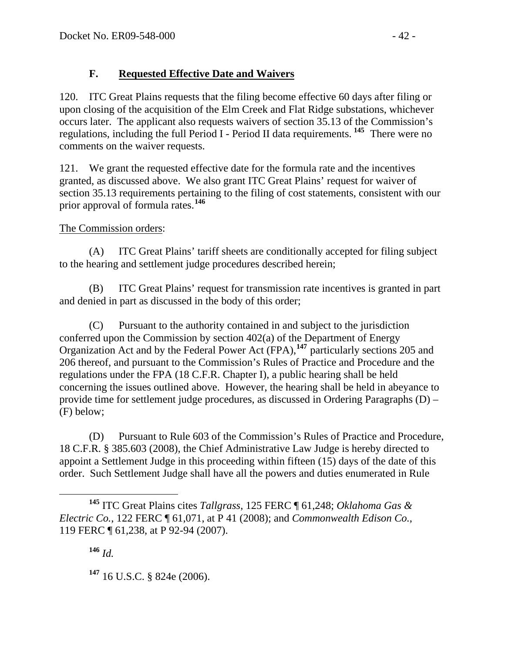# **F. Requested Effective Date and Waivers**

120. ITC Great Plains requests that the filing become effective 60 days after filing or upon closing of the acquisition of the Elm Creek and Flat Ridge substations, whichever occurs later. The applicant also requests waivers of section 35.13 of the Commission's regulations, including the full Period I - Period II data requirements. **[145](#page-41-0)** There were no comments on the waiver requests.

121. We grant the requested effective date for the formula rate and the incentives granted, as discussed above. We also grant ITC Great Plains' request for waiver of section 35.13 requirements pertaining to the filing of cost statements, consistent with our prior approval of formula rates.**[146](#page-41-1)**

# The Commission orders:

(A) ITC Great Plains' tariff sheets are conditionally accepted for filing subject to the hearing and settlement judge procedures described herein;

(B) ITC Great Plains' request for transmission rate incentives is granted in part and denied in part as discussed in the body of this order;

(C) Pursuant to the authority contained in and subject to the jurisdiction conferred upon the Commission by section 402(a) of the Department of Energy Organization Act and by the Federal Power Act (FPA),**[147](#page-41-2)** particularly sections 205 and 206 thereof, and pursuant to the Commission's Rules of Practice and Procedure and the regulations under the FPA (18 C.F.R. Chapter I), a public hearing shall be held concerning the issues outlined above. However, the hearing shall be held in abeyance to provide time for settlement judge procedures, as discussed in Ordering Paragraphs (D) – (F) below;

(D) Pursuant to Rule 603 of the Commission's Rules of Practice and Procedure, 18 C.F.R. § 385.603 (2008), the Chief Administrative Law Judge is hereby directed to appoint a Settlement Judge in this proceeding within fifteen (15) days of the date of this order. Such Settlement Judge shall have all the powers and duties enumerated in Rule

**<sup>146</sup>** *Id.*

<span id="page-41-2"></span>**<sup>147</sup>** 16 U.S.C. § 824e (2006).

<span id="page-41-1"></span><span id="page-41-0"></span>**<sup>145</sup>** ITC Great Plains cites *Tallgrass*, 125 FERC ¶ 61,248; *Oklahoma Gas & Electric Co.*, 122 FERC ¶ 61,071, at P 41 (2008); and *Commonwealth Edison Co.*, 119 FERC ¶ 61,238, at P 92-94 (2007).